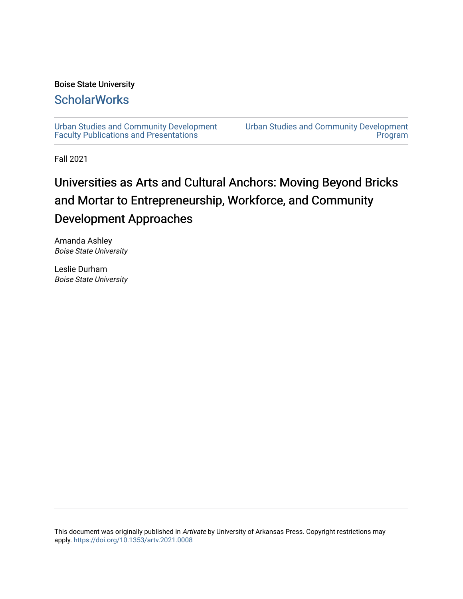#### Boise State University

# **ScholarWorks**

[Urban Studies and Community Development](https://scholarworks.boisestate.edu/planning_facpubs) [Faculty Publications and Presentations](https://scholarworks.boisestate.edu/planning_facpubs) 

[Urban Studies and Community Development](https://scholarworks.boisestate.edu/planning)  [Program](https://scholarworks.boisestate.edu/planning) 

Fall 2021

# Universities as Arts and Cultural Anchors: Moving Beyond Bricks and Mortar to Entrepreneurship, Workforce, and Community Development Approaches

Amanda Ashley Boise State University

Leslie Durham Boise State University

This document was originally published in Artivate by University of Arkansas Press. Copyright restrictions may apply. <https://doi.org/10.1353/artv.2021.0008>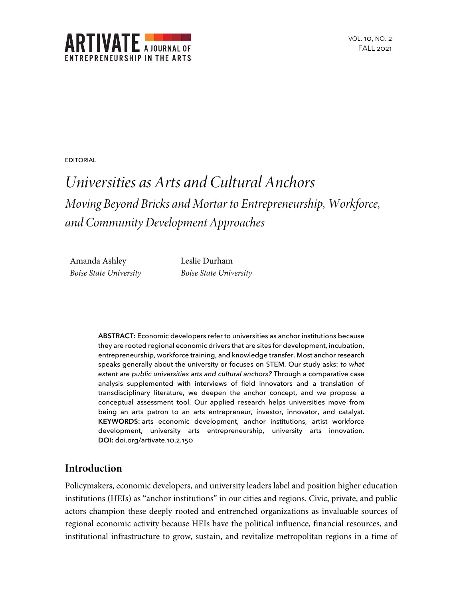

EDITORIAL

# *Universities as Arts and Cultural Anchors Moving Beyond Bricks and Mortar to Entrepreneurship, Workforce, and Community Development Approaches*

Amanda Ashley *Boise State University* Leslie Durham *Boise State University*

**ABSTRACT:** Economic developers refer to universities as anchor institutions because they are rooted regional economic drivers that are sites for development, incubation, entrepreneurship, workforce training, and knowledge transfer. Most anchor research speaks generally about the university or focuses on STEM. Our study asks: *to what extent are public universities arts and cultural anchors?* Through a comparative case analysis supplemented with interviews of field innovators and a translation of transdisciplinary literature, we deepen the anchor concept, and we propose a conceptual assessment tool. Our applied research helps universities move from being an arts patron to an arts entrepreneur, investor, innovator, and catalyst. **KEYWORDS:** arts economic development, anchor institutions, artist workforce development, university arts entrepreneurship, university arts innovation. DOI: doi.org/artivate.10.2.150

# **Introduction**

Policymakers, economic developers, and university leaders label and position higher education institutions (HEIs) as "anchor institutions" in our cities and regions. Civic, private, and public actors champion these deeply rooted and entrenched organizations as invaluable sources of regional economic activity because HEIs have the political influence, financial resources, and institutional infrastructure to grow, sustain, and revitalize metropolitan regions in a time of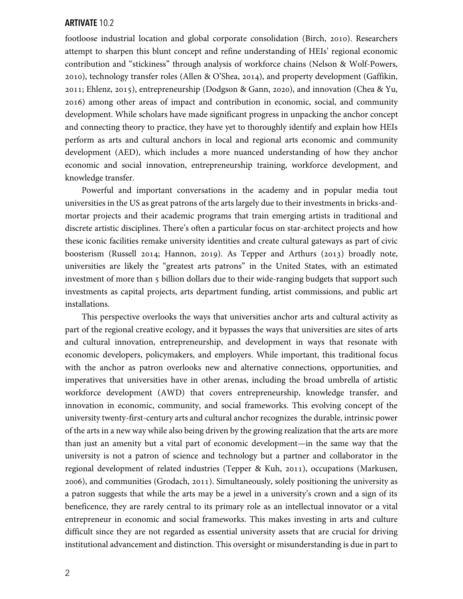footloose industrial location and global corporate consolidation (Birch, 2010). Researchers attempt to sharpen this blunt concept and refine understanding of HEIs' regional economic contribution and "stickiness" through analysis of workforce chains (Nelson & Wolf-Powers, 2010), technology transfer roles (Allen & O'Shea, 2014), and property development (Gaffikin, 2011; Ehlenz, 2015), entrepreneurship (Dodgson & Gann, 2020), and innovation (Chea & Yu, ) among other areas of impact and contribution in economic, social, and community development. While scholars have made significant progress in unpacking the anchor concept and connecting theory to practice, they have yet to thoroughly identify and explain how HEIs perform as arts and cultural anchors in local and regional arts economic and community development (AED), which includes a more nuanced understanding of how they anchor economic and social innovation, entrepreneurship training, workforce development, and knowledge transfer.

Powerful and important conversations in the academy and in popular media tout universities in the US as great patrons of the arts largely due to their investments in bricks-andmortar projects and their academic programs that train emerging artists in traditional and discrete artistic disciplines. There's often a particular focus on star-architect projects and how these iconic facilities remake university identities and create cultural gateways as part of civic boosterism (Russell 2014; Hannon, 2019). As Tepper and Arthurs (2013) broadly note, universities are likely the "greatest arts patrons" in the United States, with an estimated investment of more than 5 billion dollars due to their wide-ranging budgets that support such investments as capital projects, arts department funding, artist commissions, and public art installations.

This perspective overlooks the ways that universities anchor arts and cultural activity as part of the regional creative ecology, and it bypasses the ways that universities are sites of arts and cultural innovation, entrepreneurship, and development in ways that resonate with economic developers, policymakers, and employers. While important, this traditional focus with the anchor as patron overlooks new and alternative connections, opportunities, and imperatives that universities have in other arenas, including the broad umbrella of artistic workforce development (AWD) that covers entrepreneurship, knowledge transfer, and innovation in economic, community, and social frameworks. This evolving concept of the university twenty-first-century arts and cultural anchor recognizes the durable, intrinsic power of the arts in a new way while also being driven by the growing realization that the arts are more than just an amenity but a vital part of economic development—in the same way that the university is not a patron of science and technology but a partner and collaborator in the regional development of related industries (Tepper & Kuh, 2011), occupations (Markusen, ), and communities (Grodach, ). Simultaneously, solely positioning the university as a patron suggests that while the arts may be a jewel in a university's crown and a sign of its beneficence, they are rarely central to its primary role as an intellectual innovator or a vital entrepreneur in economic and social frameworks. This makes investing in arts and culture difficult since they are not regarded as essential university assets that are crucial for driving institutional advancement and distinction. This oversight or misunderstanding is due in part to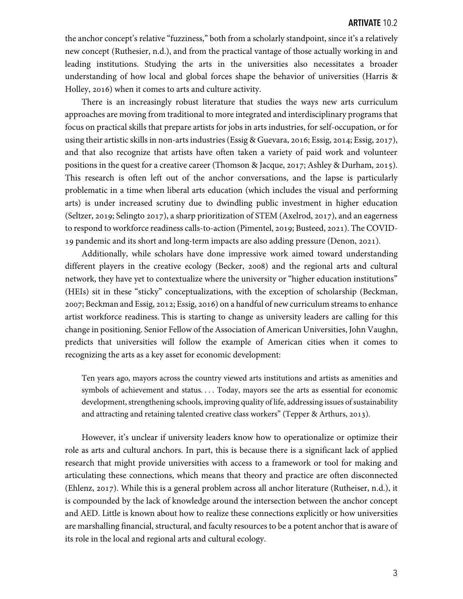the anchor concept's relative "fuzziness," both from a scholarly standpoint, since it's a relatively new concept (Ruthesier, n.d.), and from the practical vantage of those actually working in and leading institutions. Studying the arts in the universities also necessitates a broader understanding of how local and global forces shape the behavior of universities (Harris & Holley, 2016) when it comes to arts and culture activity.

There is an increasingly robust literature that studies the ways new arts curriculum approaches are moving from traditional to more integrated and interdisciplinary programs that focus on practical skills that prepare artists for jobs in arts industries, for self-occupation, or for using their artistic skills in non-arts industries (Essig & Guevara, 2016; Essig, 2014; Essig, 2017), and that also recognize that artists have often taken a variety of paid work and volunteer positions in the quest for a creative career (Thomson & Jacque, 2017; Ashley & Durham, 2015). This research is often left out of the anchor conversations, and the lapse is particularly problematic in a time when liberal arts education (which includes the visual and performing arts) is under increased scrutiny due to dwindling public investment in higher education (Seltzer, 2019; Selingto 2017), a sharp prioritization of STEM (Axelrod, 2017), and an eagerness to respond to workforce readiness calls-to-action (Pimentel, 2019; Busteed, 2021). The COVID-19 pandemic and its short and long-term impacts are also adding pressure (Denon, 2021).

Additionally, while scholars have done impressive work aimed toward understanding different players in the creative ecology (Becker, 2008) and the regional arts and cultural network, they have yet to contextualize where the university or "higher education institutions" (HEIs) sit in these "sticky" conceptualizations, with the exception of scholarship (Beckman, 2007; Beckman and Essig, 2012; Essig, 2016) on a handful of new curriculum streams to enhance artist workforce readiness. This is starting to change as university leaders are calling for this change in positioning. Senior Fellow of the Association of American Universities, John Vaughn, predicts that universities will follow the example of American cities when it comes to recognizing the arts as a key asset for economic development:

Ten years ago, mayors across the country viewed arts institutions and artists as amenities and symbols of achievement and status. . . . Today, mayors see the arts as essential for economic development, strengthening schools, improving quality of life, addressing issues of sustainability and attracting and retaining talented creative class workers" (Tepper & Arthurs, 2013).

However, it's unclear if university leaders know how to operationalize or optimize their role as arts and cultural anchors. In part, this is because there is a significant lack of applied research that might provide universities with access to a framework or tool for making and articulating these connections, which means that theory and practice are often disconnected (Ehlenz, 2017). While this is a general problem across all anchor literature (Rutheiser, n.d.), it is compounded by the lack of knowledge around the intersection between the anchor concept and AED. Little is known about how to realize these connections explicitly or how universities are marshalling financial, structural, and faculty resources to be a potent anchor that is aware of its role in the local and regional arts and cultural ecology.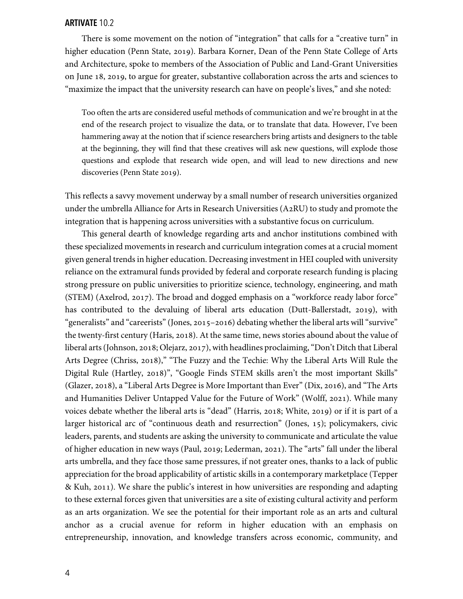There is some movement on the notion of "integration" that calls for a "creative turn" in higher education (Penn State, 2019). Barbara Korner, Dean of the Penn State College of Arts and Architecture, spoke to members of the Association of Public and Land-Grant Universities on June 18, 2019, to argue for greater, substantive collaboration across the arts and sciences to "maximize the impact that the university research can have on people's lives," and she noted:

Too often the arts are considered useful methods of communication and we're brought in at the end of the research project to visualize the data, or to translate that data. However, I've been hammering away at the notion that if science researchers bring artists and designers to the table at the beginning, they will find that these creatives will ask new questions, will explode those questions and explode that research wide open, and will lead to new directions and new discoveries (Penn State 2019).

This reflects a savvy movement underway by a small number of research universities organized under the umbrella Alliance for Arts in Research Universities (A2RU) to study and promote the integration that is happening across universities with a substantive focus on curriculum.

This general dearth of knowledge regarding arts and anchor institutions combined with these specialized movements in research and curriculum integration comes at a crucial moment given general trends in higher education. Decreasing investment in HEI coupled with university reliance on the extramural funds provided by federal and corporate research funding is placing strong pressure on public universities to prioritize science, technology, engineering, and math (STEM) (Axelrod, 2017). The broad and dogged emphasis on a "workforce ready labor force" has contributed to the devaluing of liberal arts education (Dutt-Ballerstadt, 2019), with "generalists" and "careerists" (Jones, 2015–2016) debating whether the liberal arts will "survive" the twenty-first century (Haris, 2018). At the same time, news stories abound about the value of liberal arts (Johnson, 2018; Olejarz, 2017), with headlines proclaiming, "Don't Ditch that Liberal Arts Degree (Chriss, 2018)," "The Fuzzy and the Techie: Why the Liberal Arts Will Rule the Digital Rule (Hartley, 2018)", "Google Finds STEM skills aren't the most important Skills" (Glazer, 2018), a "Liberal Arts Degree is More Important than Ever" (Dix, 2016), and "The Arts and Humanities Deliver Untapped Value for the Future of Work" (Wolff, 2021). While many voices debate whether the liberal arts is "dead" (Harris, 2018; White, 2019) or if it is part of a larger historical arc of "continuous death and resurrection" (Jones, 15); policymakers, civic leaders, parents, and students are asking the university to communicate and articulate the value of higher education in new ways (Paul, 2019; Lederman, 2021). The "arts" fall under the liberal arts umbrella, and they face those same pressures, if not greater ones, thanks to a lack of public appreciation for the broad applicability of artistic skills in a contemporary marketplace (Tepper & Kuh, 2011). We share the public's interest in how universities are responding and adapting to these external forces given that universities are a site of existing cultural activity and perform as an arts organization. We see the potential for their important role as an arts and cultural anchor as a crucial avenue for reform in higher education with an emphasis on entrepreneurship, innovation, and knowledge transfers across economic, community, and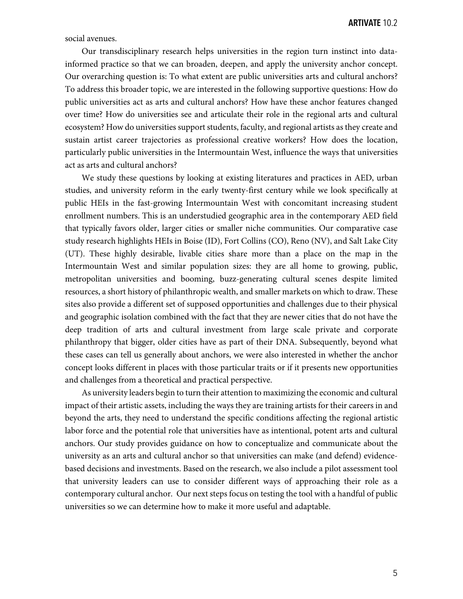social avenues.

Our transdisciplinary research helps universities in the region turn instinct into datainformed practice so that we can broaden, deepen, and apply the university anchor concept. Our overarching question is: To what extent are public universities arts and cultural anchors? To address this broader topic, we are interested in the following supportive questions: How do public universities act as arts and cultural anchors? How have these anchor features changed over time? How do universities see and articulate their role in the regional arts and cultural ecosystem? How do universities support students, faculty, and regional artists as they create and sustain artist career trajectories as professional creative workers? How does the location, particularly public universities in the Intermountain West, influence the ways that universities act as arts and cultural anchors?

We study these questions by looking at existing literatures and practices in AED, urban studies, and university reform in the early twenty-first century while we look specifically at public HEIs in the fast-growing Intermountain West with concomitant increasing student enrollment numbers. This is an understudied geographic area in the contemporary AED field that typically favors older, larger cities or smaller niche communities. Our comparative case study research highlights HEIs in Boise (ID), Fort Collins (CO), Reno (NV), and Salt Lake City (UT). These highly desirable, livable cities share more than a place on the map in the Intermountain West and similar population sizes: they are all home to growing, public, metropolitan universities and booming, buzz-generating cultural scenes despite limited resources, a short history of philanthropic wealth, and smaller markets on which to draw. These sites also provide a different set of supposed opportunities and challenges due to their physical and geographic isolation combined with the fact that they are newer cities that do not have the deep tradition of arts and cultural investment from large scale private and corporate philanthropy that bigger, older cities have as part of their DNA. Subsequently, beyond what these cases can tell us generally about anchors, we were also interested in whether the anchor concept looks different in places with those particular traits or if it presents new opportunities and challenges from a theoretical and practical perspective.

As university leaders begin to turn their attention to maximizing the economic and cultural impact of their artistic assets, including the ways they are training artists for their careers in and beyond the arts, they need to understand the specific conditions affecting the regional artistic labor force and the potential role that universities have as intentional, potent arts and cultural anchors. Our study provides guidance on how to conceptualize and communicate about the university as an arts and cultural anchor so that universities can make (and defend) evidencebased decisions and investments. Based on the research, we also include a pilot assessment tool that university leaders can use to consider different ways of approaching their role as a contemporary cultural anchor. Our next steps focus on testing the tool with a handful of public universities so we can determine how to make it more useful and adaptable.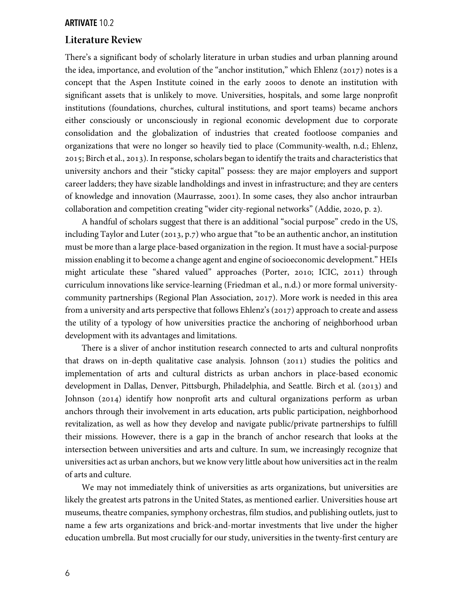#### **Literature Review**

There's a significant body of scholarly literature in urban studies and urban planning around the idea, importance, and evolution of the "anchor institution," which Ehlenz (2017) notes is a concept that the Aspen Institute coined in the early 2000s to denote an institution with significant assets that is unlikely to move. Universities, hospitals, and some large nonprofit institutions (foundations, churches, cultural institutions, and sport teams) became anchors either consciously or unconsciously in regional economic development due to corporate consolidation and the globalization of industries that created footloose companies and organizations that were no longer so heavily tied to place (Community-wealth, n.d.; Ehlenz, 2015; Birch et al., 2013). In response, scholars began to identify the traits and characteristics that university anchors and their "sticky capital" possess: they are major employers and support career ladders; they have sizable landholdings and invest in infrastructure; and they are centers of knowledge and innovation (Maurrasse, 2001). In some cases, they also anchor intraurban collaboration and competition creating "wider city-regional networks" (Addie, 2020, p. 2).

A handful of scholars suggest that there is an additional "social purpose" credo in the US, including Taylor and Luter (2013, p.7) who argue that "to be an authentic anchor, an institution must be more than a large place-based organization in the region. It must have a social-purpose mission enabling it to become a change agent and engine of socioeconomic development." HEIs might articulate these "shared valued" approaches (Porter, 2010; ICIC, 2011) through curriculum innovations like service-learning (Friedman et al., n.d.) or more formal universitycommunity partnerships (Regional Plan Association, 2017). More work is needed in this area from a university and arts perspective that follows Ehlenz's (2017) approach to create and assess the utility of a typology of how universities practice the anchoring of neighborhood urban development with its advantages and limitations.

There is a sliver of anchor institution research connected to arts and cultural nonprofits that draws on in-depth qualitative case analysis. Johnson  $(2011)$  studies the politics and implementation of arts and cultural districts as urban anchors in place-based economic development in Dallas, Denver, Pittsburgh, Philadelphia, and Seattle. Birch et al. (2013) and Johnson (2014) identify how nonprofit arts and cultural organizations perform as urban anchors through their involvement in arts education, arts public participation, neighborhood revitalization, as well as how they develop and navigate public/private partnerships to fulfill their missions. However, there is a gap in the branch of anchor research that looks at the intersection between universities and arts and culture. In sum, we increasingly recognize that universities act as urban anchors, but we know very little about how universities act in the realm of arts and culture.

We may not immediately think of universities as arts organizations, but universities are likely the greatest arts patrons in the United States, as mentioned earlier. Universities house art museums, theatre companies, symphony orchestras, film studios, and publishing outlets, just to name a few arts organizations and brick-and-mortar investments that live under the higher education umbrella. But most crucially for our study, universities in the twenty-first century are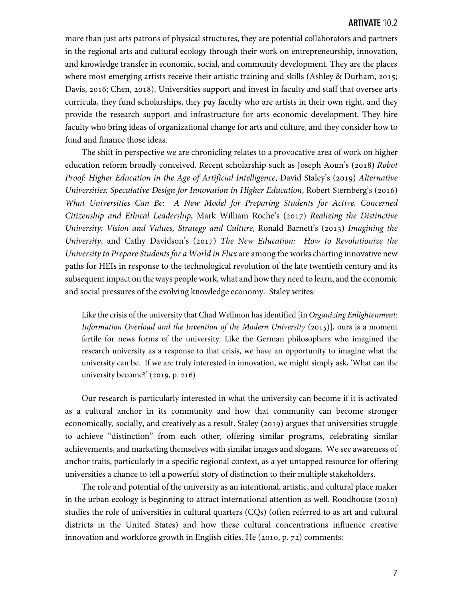more than just arts patrons of physical structures, they are potential collaborators and partners in the regional arts and cultural ecology through their work on entrepreneurship, innovation, and knowledge transfer in economic, social, and community development. They are the places where most emerging artists receive their artistic training and skills (Ashley & Durham, 2015; Davis, 2016; Chen, 2018). Universities support and invest in faculty and staff that oversee arts curricula, they fund scholarships, they pay faculty who are artists in their own right, and they provide the research support and infrastructure for arts economic development. They hire faculty who bring ideas of organizational change for arts and culture, and they consider how to fund and finance those ideas.

The shift in perspective we are chronicling relates to a provocative area of work on higher education reform broadly conceived. Recent scholarship such as Joseph Aoun's (2018) Robot *Proof: Higher Education in the Age of Artificial Intelligence, David Staley's (2019) Alternative Universities: Speculative Design for Innovation in Higher Education*, Robert Sternberg's (2016) *What Universities Can Be: A New Model for Preparing Students for Active, Concerned Citizenship and Ethical Leadership*, Mark William Roche's (2017) *Realizing the Distinctive University: Vision and Values, Strategy and Culture, Ronald Barnett's (2013) Imagining the University*, and Cathy Davidson's (2017) The New Education: How to Revolutionize the *University to Prepare Students for a World in Flux* are among the works charting innovative new paths for HEIs in response to the technological revolution of the late twentieth century and its subsequent impact on the ways people work, what and how they need to learn, and the economic and social pressures of the evolving knowledge economy. Staley writes:

Like the crisis of the university that Chad Wellmon has identified [in *Organizing Enlightenment: Information Overload and the Invention of the Modern University* (2015)], ours is a moment fertile for news forms of the university. Like the German philosophers who imagined the research university as a response to that crisis, we have an opportunity to imagine what the university can be. If we are truly interested in innovation, we might simply ask, 'What can the university become?'  $(2019, p. 216)$ 

Our research is particularly interested in what the university can become if it is activated as a cultural anchor in its community and how that community can become stronger economically, socially, and creatively as a result. Staley (2019) argues that universities struggle to achieve "distinction" from each other, offering similar programs, celebrating similar achievements, and marketing themselves with similar images and slogans. We see awareness of anchor traits, particularly in a specific regional context, as a yet untapped resource for offering universities a chance to tell a powerful story of distinction to their multiple stakeholders.

The role and potential of the university as an intentional, artistic, and cultural place maker in the urban ecology is beginning to attract international attention as well. Roodhouse  $(2010)$ studies the role of universities in cultural quarters (CQs) (often referred to as art and cultural districts in the United States) and how these cultural concentrations influence creative innovation and workforce growth in English cities. He  $(2010, p. 72)$  comments: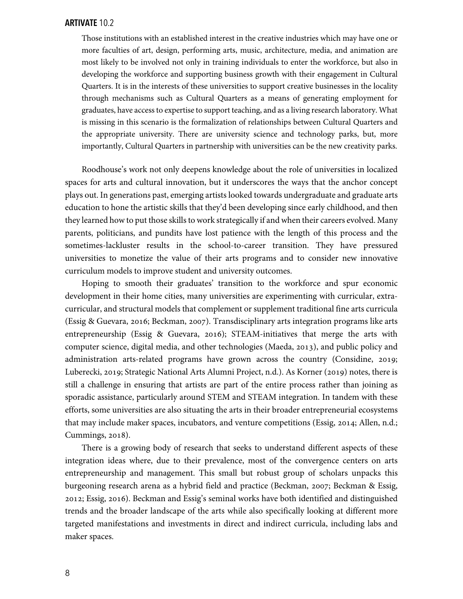Those institutions with an established interest in the creative industries which may have one or more faculties of art, design, performing arts, music, architecture, media, and animation are most likely to be involved not only in training individuals to enter the workforce, but also in developing the workforce and supporting business growth with their engagement in Cultural Quarters. It is in the interests of these universities to support creative businesses in the locality through mechanisms such as Cultural Quarters as a means of generating employment for graduates, have access to expertise to support teaching, and as a living research laboratory. What is missing in this scenario is the formalization of relationships between Cultural Quarters and the appropriate university. There are university science and technology parks, but, more importantly, Cultural Quarters in partnership with universities can be the new creativity parks.

Roodhouse's work not only deepens knowledge about the role of universities in localized spaces for arts and cultural innovation, but it underscores the ways that the anchor concept plays out. In generations past, emerging artists looked towards undergraduate and graduate arts education to hone the artistic skills that they'd been developing since early childhood, and then they learned how to put those skills to work strategically if and when their careers evolved. Many parents, politicians, and pundits have lost patience with the length of this process and the sometimes-lackluster results in the school-to-career transition. They have pressured universities to monetize the value of their arts programs and to consider new innovative curriculum models to improve student and university outcomes.

Hoping to smooth their graduates' transition to the workforce and spur economic development in their home cities, many universities are experimenting with curricular, extracurricular, and structural models that complement or supplement traditional fine arts curricula (Essig & Guevara, 2016; Beckman, 2007). Transdisciplinary arts integration programs like arts entrepreneurship (Essig & Guevara, 2016); STEAM-initiatives that merge the arts with computer science, digital media, and other technologies (Maeda, 2013), and public policy and administration arts-related programs have grown across the country (Considine, 2019; Luberecki, 2019; Strategic National Arts Alumni Project, n.d.). As Korner (2019) notes, there is still a challenge in ensuring that artists are part of the entire process rather than joining as sporadic assistance, particularly around STEM and STEAM integration. In tandem with these efforts, some universities are also situating the arts in their broader entrepreneurial ecosystems that may include maker spaces, incubators, and venture competitions (Essig, 2014; Allen, n.d.; Cummings, 2018).

There is a growing body of research that seeks to understand different aspects of these integration ideas where, due to their prevalence, most of the convergence centers on arts entrepreneurship and management. This small but robust group of scholars unpacks this burgeoning research arena as a hybrid field and practice (Beckman, 2007; Beckman & Essig, 2012; Essig, 2016). Beckman and Essig's seminal works have both identified and distinguished trends and the broader landscape of the arts while also specifically looking at different more targeted manifestations and investments in direct and indirect curricula, including labs and maker spaces.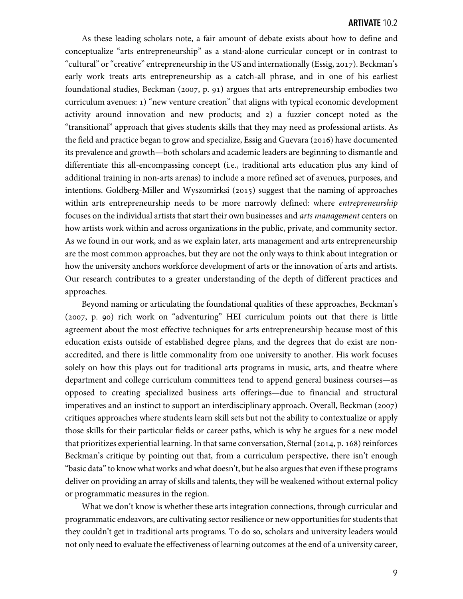As these leading scholars note, a fair amount of debate exists about how to define and conceptualize "arts entrepreneurship" as a stand-alone curricular concept or in contrast to "cultural" or "creative" entrepreneurship in the US and internationally (Essig, 2017). Beckman's early work treats arts entrepreneurship as a catch-all phrase, and in one of his earliest foundational studies, Beckman (2007, p. 91) argues that arts entrepreneurship embodies two curriculum avenues: ) "new venture creation" that aligns with typical economic development activity around innovation and new products; and  $2)$  a fuzzier concept noted as the "transitional" approach that gives students skills that they may need as professional artists. As the field and practice began to grow and specialize, Essig and Guevara (2016) have documented its prevalence and growth—both scholars and academic leaders are beginning to dismantle and differentiate this all-encompassing concept (i.e., traditional arts education plus any kind of additional training in non-arts arenas) to include a more refined set of avenues, purposes, and intentions. Goldberg-Miller and Wyszomirksi  $(2015)$  suggest that the naming of approaches within arts entrepreneurship needs to be more narrowly defined: where *entrepreneurship* focuses on the individual artists that start their own businesses and *arts management* centers on how artists work within and across organizations in the public, private, and community sector. As we found in our work, and as we explain later, arts management and arts entrepreneurship are the most common approaches, but they are not the only ways to think about integration or how the university anchors workforce development of arts or the innovation of arts and artists. Our research contributes to a greater understanding of the depth of different practices and approaches.

Beyond naming or articulating the foundational qualities of these approaches, Beckman's  $(2007, p. 90)$  rich work on "adventuring" HEI curriculum points out that there is little agreement about the most effective techniques for arts entrepreneurship because most of this education exists outside of established degree plans, and the degrees that do exist are nonaccredited, and there is little commonality from one university to another. His work focuses solely on how this plays out for traditional arts programs in music, arts, and theatre where department and college curriculum committees tend to append general business courses—as opposed to creating specialized business arts offerings—due to financial and structural imperatives and an instinct to support an interdisciplinary approach. Overall, Beckman  $(2007)$ critiques approaches where students learn skill sets but not the ability to contextualize or apply those skills for their particular fields or career paths, which is why he argues for a new model that prioritizes experiential learning. In that same conversation, Sternal  $(2014, p. 168)$  reinforces Beckman's critique by pointing out that, from a curriculum perspective, there isn't enough "basic data" to know what works and what doesn't, but he also argues that even if these programs deliver on providing an array of skills and talents, they will be weakened without external policy or programmatic measures in the region.

What we don't know is whether these arts integration connections, through curricular and programmatic endeavors, are cultivating sector resilience or new opportunities for students that they couldn't get in traditional arts programs. To do so, scholars and university leaders would not only need to evaluate the effectiveness of learning outcomes at the end of a university career,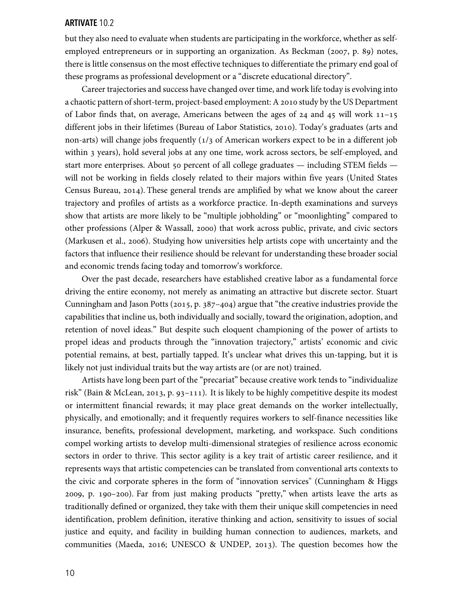but they also need to evaluate when students are participating in the workforce, whether as selfemployed entrepreneurs or in supporting an organization. As Beckman (2007, p. 89) notes, there is little consensus on the most effective techniques to differentiate the primary end goal of these programs as professional development or a "discrete educational directory".

Career trajectories and success have changed over time, and work life today is evolving into a chaotic pattern of short-term, project-based employment: A 2010 study by the US Department of Labor finds that, on average, Americans between the ages of  $24$  and  $45$  will work  $11-15$ different jobs in their lifetimes (Bureau of Labor Statistics, 2010). Today's graduates (arts and non-arts) will change jobs frequently  $(1/3)$  of American workers expect to be in a different job within 3 years), hold several jobs at any one time, work across sectors, be self-employed, and start more enterprises. About 50 percent of all college graduates  $-$  including STEM fields  $$ will not be working in fields closely related to their majors within five years (United States Census Bureau,  $2014$ ). These general trends are amplified by what we know about the career trajectory and profiles of artists as a workforce practice. In-depth examinations and surveys show that artists are more likely to be "multiple jobholding" or "moonlighting" compared to other professions (Alper & Wassall, 2000) that work across public, private, and civic sectors (Markusen et al., 2006). Studying how universities help artists cope with uncertainty and the factors that influence their resilience should be relevant for understanding these broader social and economic trends facing today and tomorrow's workforce.

Over the past decade, researchers have established creative labor as a fundamental force driving the entire economy, not merely as animating an attractive but discrete sector. Stuart Cunningham and Jason Potts ( $2015$ , p.  $387-404$ ) argue that "the creative industries provide the capabilities that incline us, both individually and socially, toward the origination, adoption, and retention of novel ideas." But despite such eloquent championing of the power of artists to propel ideas and products through the "innovation trajectory," artists' economic and civic potential remains, at best, partially tapped. It's unclear what drives this un-tapping, but it is likely not just individual traits but the way artists are (or are not) trained.

Artists have long been part of the "precariat" because creative work tends to "individualize risk" (Bain & McLean, 2013, p. 93-111). It is likely to be highly competitive despite its modest or intermittent financial rewards; it may place great demands on the worker intellectually, physically, and emotionally; and it frequently requires workers to self-finance necessities like insurance, benefits, professional development, marketing, and workspace. Such conditions compel working artists to develop multi-dimensional strategies of resilience across economic sectors in order to thrive. This sector agility is a key trait of artistic career resilience, and it represents ways that artistic competencies can be translated from conventional arts contexts to the civic and corporate spheres in the form of "innovation services'' (Cunningham & Higgs 2009, p. 190-200). Far from just making products "pretty," when artists leave the arts as traditionally defined or organized, they take with them their unique skill competencies in need identification, problem definition, iterative thinking and action, sensitivity to issues of social justice and equity, and facility in building human connection to audiences, markets, and communities (Maeda, 2016; UNESCO & UNDEP, 2013). The question becomes how the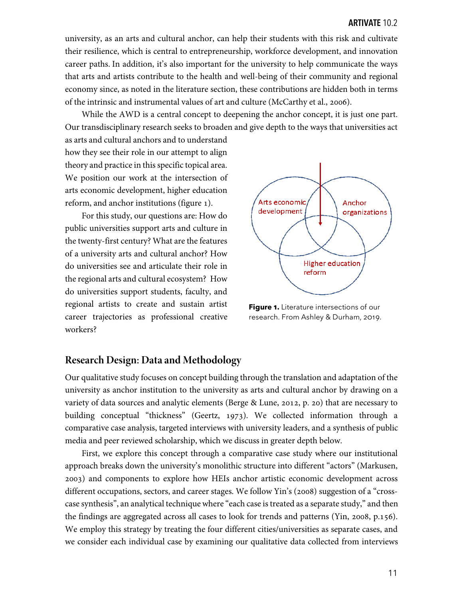university, as an arts and cultural anchor, can help their students with this risk and cultivate their resilience, which is central to entrepreneurship, workforce development, and innovation career paths. In addition, it's also important for the university to help communicate the ways that arts and artists contribute to the health and well-being of their community and regional economy since, as noted in the literature section, these contributions are hidden both in terms of the intrinsic and instrumental values of art and culture (McCarthy et al., 2006).

While the AWD is a central concept to deepening the anchor concept, it is just one part. Our transdisciplinary research seeks to broaden and give depth to the ways that universities act

as arts and cultural anchors and to understand how they see their role in our attempt to align theory and practice in this specific topical area. We position our work at the intersection of arts economic development, higher education reform, and anchor institutions (figure ).

For this study, our questions are: How do public universities support arts and culture in the twenty-first century? What are the features of a university arts and cultural anchor? How do universities see and articulate their role in the regional arts and cultural ecosystem? How do universities support students, faculty, and regional artists to create and sustain artist career trajectories as professional creative workers?



**Figure .** Literature intersections of our research. From Ashley & Durham, 2019.

# **Research Design: Data and Methodology**

Our qualitative study focuses on concept building through the translation and adaptation of the university as anchor institution to the university as arts and cultural anchor by drawing on a variety of data sources and analytic elements (Berge & Lune, 2012, p. 20) that are necessary to building conceptual "thickness" (Geertz, 1973). We collected information through a comparative case analysis, targeted interviews with university leaders, and a synthesis of public media and peer reviewed scholarship, which we discuss in greater depth below.

First, we explore this concept through a comparative case study where our institutional approach breaks down the university's monolithic structure into different "actors" (Markusen, ) and components to explore how HEIs anchor artistic economic development across different occupations, sectors, and career stages. We follow Yin's (2008) suggestion of a "crosscase synthesis", an analytical technique where "each case is treated as a separate study," and then the findings are aggregated across all cases to look for trends and patterns (Yin, 2008,  $p.156$ ). We employ this strategy by treating the four different cities/universities as separate cases, and we consider each individual case by examining our qualitative data collected from interviews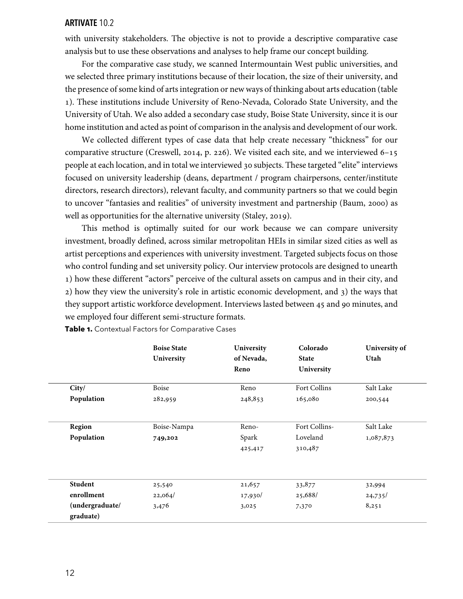with university stakeholders. The objective is not to provide a descriptive comparative case analysis but to use these observations and analyses to help frame our concept building.

For the comparative case study, we scanned Intermountain West public universities, and we selected three primary institutions because of their location, the size of their university, and the presence of some kind of arts integration or new ways of thinking about arts education (table ). These institutions include University of Reno-Nevada, Colorado State University, and the University of Utah. We also added a secondary case study, Boise State University, since it is our home institution and acted as point of comparison in the analysis and development of our work.

We collected different types of case data that help create necessary "thickness" for our comparative structure (Creswell, 2014, p. 226). We visited each site, and we interviewed  $6-15$ people at each location, and in total we interviewed 30 subjects. These targeted "elite" interviews focused on university leadership (deans, department / program chairpersons, center/institute directors, research directors), relevant faculty, and community partners so that we could begin to uncover "fantasies and realities" of university investment and partnership (Baum, 2000) as well as opportunities for the alternative university (Staley, 2019).

This method is optimally suited for our work because we can compare university investment, broadly defined, across similar metropolitan HEIs in similar sized cities as well as artist perceptions and experiences with university investment. Targeted subjects focus on those who control funding and set university policy. Our interview protocols are designed to unearth ) how these different "actors" perceive of the cultural assets on campus and in their city, and 2) how they view the university's role in artistic economic development, and 3) the ways that they support artistic workforce development. Interviews lasted between 45 and 90 minutes, and we employed four different semi-structure formats.

|                              | <b>Boise State</b><br>University | University<br>of Nevada, | Colorado<br><b>State</b> | University of<br>Utah |
|------------------------------|----------------------------------|--------------------------|--------------------------|-----------------------|
|                              |                                  | Reno                     | University               |                       |
| City/                        | Boise                            | Reno                     | Fort Collins             | Salt Lake             |
| Population                   | 282,959                          | 248,853                  | 165,080                  | 200,544               |
| Region                       | Boise-Nampa                      | Reno-                    | Fort Collins-            | Salt Lake             |
| Population                   | 749,202                          | Spark                    | Loveland                 | 1,087,873             |
|                              |                                  | 425,417                  | 310,487                  |                       |
| Student                      | 25,540                           | 21,657                   | 33,877                   | 32,994                |
| enrollment                   | 22,064/                          | 17,930/                  | 25,688/                  | 24,735/               |
| (undergraduate/<br>graduate) | 3,476                            | 3,025                    | 7,370                    | 8,251                 |

**Table .** Contextual Factors for Comparative Cases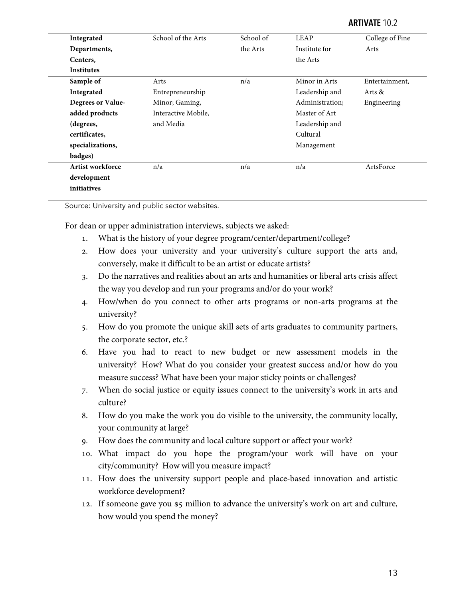| Integrated        | School of the Arts  | School of | LEAP            | College of Fine |
|-------------------|---------------------|-----------|-----------------|-----------------|
| Departments,      |                     | the Arts  | Institute for   | Arts            |
| Centers,          |                     |           | the Arts        |                 |
| <b>Institutes</b> |                     |           |                 |                 |
| Sample of         | Arts                | n/a       | Minor in Arts   | Entertainment,  |
| Integrated        | Entrepreneurship    |           | Leadership and  | Arts &          |
| Degrees or Value- | Minor; Gaming,      |           | Administration; | Engineering     |
| added products    | Interactive Mobile, |           | Master of Art   |                 |
| (degrees,         | and Media           |           | Leadership and  |                 |
| certificates,     |                     |           | Cultural        |                 |
| specializations,  |                     |           | Management      |                 |
| badges)           |                     |           |                 |                 |
| Artist workforce  | n/a                 | n/a       | n/a             | ArtsForce       |
| development       |                     |           |                 |                 |
| initiatives       |                     |           |                 |                 |

Source: University and public sector websites.

For dean or upper administration interviews, subjects we asked:

- . What is the history of your degree program/center/department/college?
- . How does your university and your university's culture support the arts and, conversely, make it difficult to be an artist or educate artists?
- . Do the narratives and realities about an arts and humanities or liberal arts crisis affect the way you develop and run your programs and/or do your work?
- . How/when do you connect to other arts programs or non-arts programs at the university?
- . How do you promote the unique skill sets of arts graduates to community partners, the corporate sector, etc.?
- . Have you had to react to new budget or new assessment models in the university? How? What do you consider your greatest success and/or how do you measure success? What have been your major sticky points or challenges?
- . When do social justice or equity issues connect to the university's work in arts and culture?
- . How do you make the work you do visible to the university, the community locally, your community at large?
- . How does the community and local culture support or affect your work?
- . What impact do you hope the program/your work will have on your city/community? How will you measure impact?
- . How does the university support people and place-based innovation and artistic workforce development?
- 12. If someone gave you \$5 million to advance the university's work on art and culture, how would you spend the money?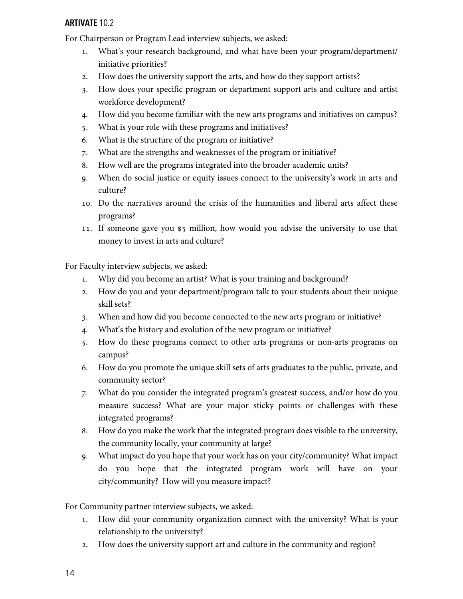For Chairperson or Program Lead interview subjects, we asked:

- . What's your research background, and what have been your program/department/ initiative priorities?
- . How does the university support the arts, and how do they support artists?
- . How does your specific program or department support arts and culture and artist workforce development?
- . How did you become familiar with the new arts programs and initiatives on campus?
- . What is your role with these programs and initiatives?
- . What is the structure of the program or initiative?
- . What are the strengths and weaknesses of the program or initiative?
- . How well are the programs integrated into the broader academic units?
- . When do social justice or equity issues connect to the university's work in arts and culture?
- . Do the narratives around the crisis of the humanities and liberal arts affect these programs?
- 11. If someone gave you \$5 million, how would you advise the university to use that money to invest in arts and culture?

For Faculty interview subjects, we asked:

- . Why did you become an artist? What is your training and background?
- . How do you and your department/program talk to your students about their unique skill sets?
- . When and how did you become connected to the new arts program or initiative?
- . What's the history and evolution of the new program or initiative?
- . How do these programs connect to other arts programs or non-arts programs on campus?
- . How do you promote the unique skill sets of arts graduates to the public, private, and community sector?
- . What do you consider the integrated program's greatest success, and/or how do you measure success? What are your major sticky points or challenges with these integrated programs?
- . How do you make the work that the integrated program does visible to the university, the community locally, your community at large?
- . What impact do you hope that your work has on your city/community? What impact do you hope that the integrated program work will have on your city/community? How will you measure impact?

For Community partner interview subjects, we asked:

- . How did your community organization connect with the university? What is your relationship to the university?
- . How does the university support art and culture in the community and region?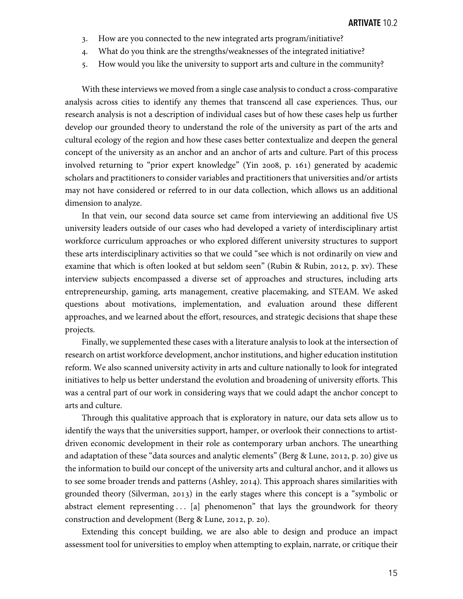- . How are you connected to the new integrated arts program/initiative?
- . What do you think are the strengths/weaknesses of the integrated initiative?
- . How would you like the university to support arts and culture in the community?

With these interviews we moved from a single case analysis to conduct a cross-comparative analysis across cities to identify any themes that transcend all case experiences. Thus, our research analysis is not a description of individual cases but of how these cases help us further develop our grounded theory to understand the role of the university as part of the arts and cultural ecology of the region and how these cases better contextualize and deepen the general concept of the university as an anchor and an anchor of arts and culture. Part of this process involved returning to "prior expert knowledge" (Yin 2008, p. 161) generated by academic scholars and practitioners to consider variables and practitioners that universities and/or artists may not have considered or referred to in our data collection, which allows us an additional dimension to analyze.

In that vein, our second data source set came from interviewing an additional five US university leaders outside of our cases who had developed a variety of interdisciplinary artist workforce curriculum approaches or who explored different university structures to support these arts interdisciplinary activities so that we could "see which is not ordinarily on view and examine that which is often looked at but seldom seen" (Rubin & Rubin, 2012, p. xv). These interview subjects encompassed a diverse set of approaches and structures, including arts entrepreneurship, gaming, arts management, creative placemaking, and STEAM. We asked questions about motivations, implementation, and evaluation around these different approaches, and we learned about the effort, resources, and strategic decisions that shape these projects.

Finally, we supplemented these cases with a literature analysis to look at the intersection of research on artist workforce development, anchor institutions, and higher education institution reform. We also scanned university activity in arts and culture nationally to look for integrated initiatives to help us better understand the evolution and broadening of university efforts. This was a central part of our work in considering ways that we could adapt the anchor concept to arts and culture.

Through this qualitative approach that is exploratory in nature, our data sets allow us to identify the ways that the universities support, hamper, or overlook their connections to artistdriven economic development in their role as contemporary urban anchors. The unearthing and adaptation of these "data sources and analytic elements" (Berg & Lune, 2012, p. 20) give us the information to build our concept of the university arts and cultural anchor, and it allows us to see some broader trends and patterns (Ashley, 2014). This approach shares similarities with grounded theory (Silverman, 2013) in the early stages where this concept is a "symbolic or abstract element representing . . . [a] phenomenon" that lays the groundwork for theory construction and development (Berg & Lune, 2012, p. 20).

Extending this concept building, we are also able to design and produce an impact assessment tool for universities to employ when attempting to explain, narrate, or critique their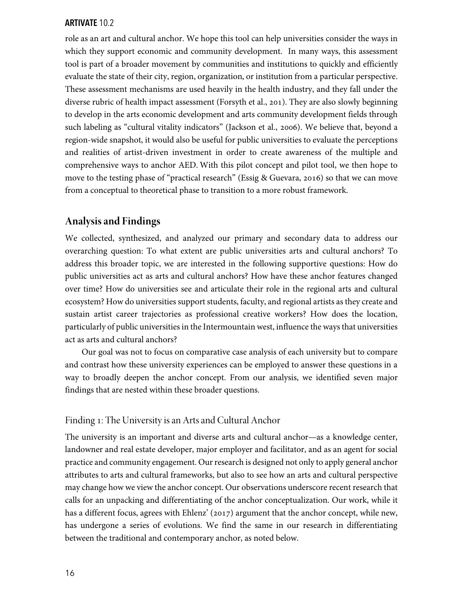role as an art and cultural anchor. We hope this tool can help universities consider the ways in which they support economic and community development. In many ways, this assessment tool is part of a broader movement by communities and institutions to quickly and efficiently evaluate the state of their city, region, organization, or institution from a particular perspective. These assessment mechanisms are used heavily in the health industry, and they fall under the diverse rubric of health impact assessment (Forsyth et al., 201). They are also slowly beginning to develop in the arts economic development and arts community development fields through such labeling as "cultural vitality indicators" (Jackson et al., 2006). We believe that, beyond a region-wide snapshot, it would also be useful for public universities to evaluate the perceptions and realities of artist-driven investment in order to create awareness of the multiple and comprehensive ways to anchor AED. With this pilot concept and pilot tool, we then hope to move to the testing phase of "practical research" (Essig & Guevara, 2016) so that we can move from a conceptual to theoretical phase to transition to a more robust framework.

# **Analysis and Findings**

We collected, synthesized, and analyzed our primary and secondary data to address our overarching question: To what extent are public universities arts and cultural anchors? To address this broader topic, we are interested in the following supportive questions: How do public universities act as arts and cultural anchors? How have these anchor features changed over time? How do universities see and articulate their role in the regional arts and cultural ecosystem? How do universities support students, faculty, and regional artists asthey create and sustain artist career trajectories as professional creative workers? How does the location, particularly of public universities in the Intermountain west, influence the ways that universities act as arts and cultural anchors?

Our goal was not to focus on comparative case analysis of each university but to compare and contrast how these university experiences can be employed to answer these questions in a way to broadly deepen the anchor concept. From our analysis, we identified seven major findings that are nested within these broader questions.

# Finding 1: The University is an Arts and Cultural Anchor

The university is an important and diverse arts and cultural anchor—as a knowledge center, landowner and real estate developer, major employer and facilitator, and as an agent for social practice and community engagement. Our research is designed not only to apply general anchor attributes to arts and cultural frameworks, but also to see how an arts and cultural perspective may change how we view the anchor concept. Our observations underscore recent research that calls for an unpacking and differentiating of the anchor conceptualization. Our work, while it has a different focus, agrees with Ehlenz' (2017) argument that the anchor concept, while new, has undergone a series of evolutions. We find the same in our research in differentiating between the traditional and contemporary anchor, as noted below.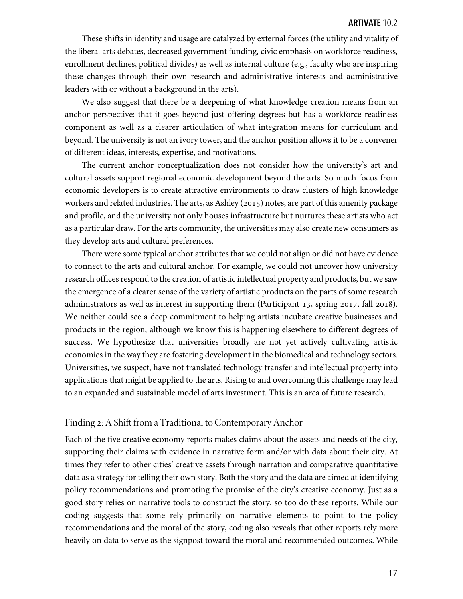These shifts in identity and usage are catalyzed by external forces (the utility and vitality of the liberal arts debates, decreased government funding, civic emphasis on workforce readiness, enrollment declines, political divides) as well as internal culture (e.g., faculty who are inspiring these changes through their own research and administrative interests and administrative leaders with or without a background in the arts).

We also suggest that there be a deepening of what knowledge creation means from an anchor perspective: that it goes beyond just offering degrees but has a workforce readiness component as well as a clearer articulation of what integration means for curriculum and beyond. The university is not an ivory tower, and the anchor position allows it to be a convener of different ideas, interests, expertise, and motivations.

The current anchor conceptualization does not consider how the university's art and cultural assets support regional economic development beyond the arts. So much focus from economic developers is to create attractive environments to draw clusters of high knowledge workers and related industries. The arts, as Ashley (2015) notes, are part of this amenity package and profile, and the university not only houses infrastructure but nurtures these artists who act as a particular draw. For the arts community, the universities may also create new consumers as they develop arts and cultural preferences.

There were some typical anchor attributes that we could not align or did not have evidence to connect to the arts and cultural anchor. For example, we could not uncover how university research offices respond to the creation of artistic intellectual property and products, but we saw the emergence of a clearer sense of the variety of artistic products on the parts of some research administrators as well as interest in supporting them (Participant  $13$ , spring  $2017$ , fall  $2018$ ). We neither could see a deep commitment to helping artists incubate creative businesses and products in the region, although we know this is happening elsewhere to different degrees of success. We hypothesize that universities broadly are not yet actively cultivating artistic economies in the way they are fostering development in the biomedical and technology sectors. Universities, we suspect, have not translated technology transfer and intellectual property into applications that might be applied to the arts. Rising to and overcoming this challenge may lead to an expanded and sustainable model of arts investment. This is an area of future research.

# Finding 2: A Shift from a Traditional to Contemporary Anchor

Each of the five creative economy reports makes claims about the assets and needs of the city, supporting their claims with evidence in narrative form and/or with data about their city. At times they refer to other cities' creative assets through narration and comparative quantitative data as a strategy for telling their own story. Both the story and the data are aimed at identifying policy recommendations and promoting the promise of the city's creative economy. Just as a good story relies on narrative tools to construct the story, so too do these reports. While our coding suggests that some rely primarily on narrative elements to point to the policy recommendations and the moral of the story, coding also reveals that other reports rely more heavily on data to serve as the signpost toward the moral and recommended outcomes. While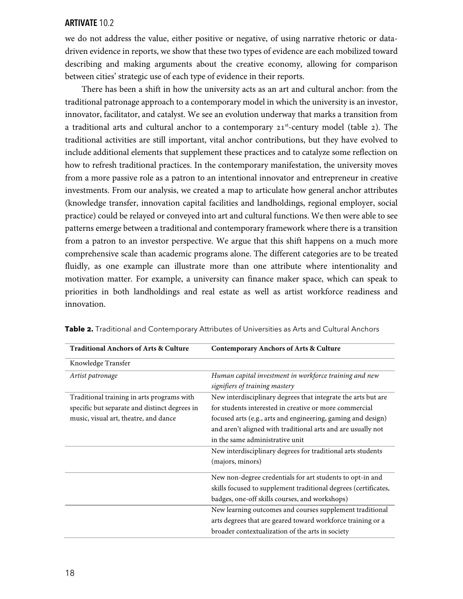we do not address the value, either positive or negative, of using narrative rhetoric or datadriven evidence in reports, we show that these two types of evidence are each mobilized toward describing and making arguments about the creative economy, allowing for comparison between cities' strategic use of each type of evidence in their reports.

There has been a shift in how the university acts as an art and cultural anchor: from the traditional patronage approach to a contemporary model in which the university is an investor, innovator, facilitator, and catalyst. We see an evolution underway that marks a transition from a traditional arts and cultural anchor to a contemporary  $21<sup>st</sup>$ -century model (table 2). The traditional activities are still important, vital anchor contributions, but they have evolved to include additional elements that supplement these practices and to catalyze some reflection on how to refresh traditional practices. In the contemporary manifestation, the university moves from a more passive role as a patron to an intentional innovator and entrepreneur in creative investments. From our analysis, we created a map to articulate how general anchor attributes (knowledge transfer, innovation capital facilities and landholdings, regional employer, social practice) could be relayed or conveyed into art and cultural functions. We then were able to see patterns emerge between a traditional and contemporary framework where there is a transition from a patron to an investor perspective. We argue that this shift happens on a much more comprehensive scale than academic programs alone. The different categories are to be treated fluidly, as one example can illustrate more than one attribute where intentionality and motivation matter. For example, a university can finance maker space, which can speak to priorities in both landholdings and real estate as well as artist workforce readiness and innovation.

| <b>Traditional Anchors of Arts &amp; Culture</b> | <b>Contemporary Anchors of Arts &amp; Culture</b>               |
|--------------------------------------------------|-----------------------------------------------------------------|
| Knowledge Transfer                               |                                                                 |
| Artist patronage                                 | Human capital investment in workforce training and new          |
|                                                  | signifiers of training mastery                                  |
| Traditional training in arts programs with       | New interdisciplinary degrees that integrate the arts but are   |
| specific but separate and distinct degrees in    | for students interested in creative or more commercial          |
| music, visual art, theatre, and dance            | focused arts (e.g., arts and engineering, gaming and design)    |
|                                                  | and aren't aligned with traditional arts and are usually not    |
|                                                  | in the same administrative unit                                 |
|                                                  | New interdisciplinary degrees for traditional arts students     |
|                                                  | (majors, minors)                                                |
|                                                  | New non-degree credentials for art students to opt-in and       |
|                                                  | skills focused to supplement traditional degrees (certificates, |
|                                                  | badges, one-off skills courses, and workshops)                  |
|                                                  | New learning outcomes and courses supplement traditional        |
|                                                  | arts degrees that are geared toward workforce training or a     |
|                                                  | broader contextualization of the arts in society                |

**Table -.** Traditional and Contemporary Attributes of Universities as Arts and Cultural Anchors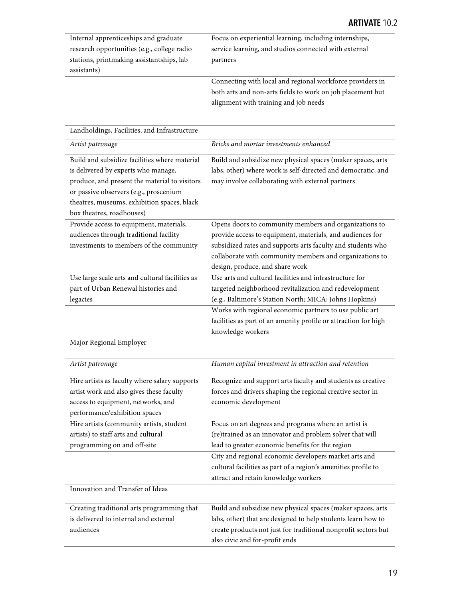| Internal apprenticeships and graduate       | Focus on experiential learning, including internships,     |
|---------------------------------------------|------------------------------------------------------------|
| research opportunities (e.g., college radio | service learning, and studios connected with external      |
| stations, printmaking assistantships, lab   | partners                                                   |
| assistants)                                 |                                                            |
|                                             | Connecting with local and regional workforce providers in  |
|                                             | both arts and non-arts fields to work on job placement but |

both arts and non-arts fields to work on job placement but alignment with training and job needs

| Landholdings, Facilities, and Infrastructure                                                                                                                                                                                                                |                                                                                                                                                                                                                                                                                                                                         |
|-------------------------------------------------------------------------------------------------------------------------------------------------------------------------------------------------------------------------------------------------------------|-----------------------------------------------------------------------------------------------------------------------------------------------------------------------------------------------------------------------------------------------------------------------------------------------------------------------------------------|
| Artist patronage                                                                                                                                                                                                                                            | Bricks and mortar investments enhanced                                                                                                                                                                                                                                                                                                  |
| Build and subsidize facilities where material<br>is delivered by experts who manage,<br>produce, and present the material to visitors<br>or passive observers (e.g., proscenium<br>theatres, museums, exhibition spaces, black<br>box theatres, roadhouses) | Build and subsidize new physical spaces (maker spaces, arts<br>labs, other) where work is self-directed and democratic, and<br>may involve collaborating with external partners                                                                                                                                                         |
| Provide access to equipment, materials,<br>audiences through traditional facility<br>investments to members of the community                                                                                                                                | Opens doors to community members and organizations to<br>provide access to equipment, materials, and audiences for<br>subsidized rates and supports arts faculty and students who<br>collaborate with community members and organizations to<br>design, produce, and share work                                                         |
| Use large scale arts and cultural facilities as<br>part of Urban Renewal histories and<br>legacies                                                                                                                                                          | Use arts and cultural facilities and infrastructure for<br>targeted neighborhood revitalization and redevelopment<br>(e.g., Baltimore's Station North; MICA; Johns Hopkins)<br>Works with regional economic partners to use public art<br>facilities as part of an amenity profile or attraction for high<br>knowledge workers          |
| Major Regional Employer                                                                                                                                                                                                                                     |                                                                                                                                                                                                                                                                                                                                         |
| Artist patronage                                                                                                                                                                                                                                            | Human capital investment in attraction and retention                                                                                                                                                                                                                                                                                    |
| Hire artists as faculty where salary supports<br>artist work and also gives these faculty<br>access to equipment, networks, and<br>performance/exhibition spaces                                                                                            | Recognize and support arts faculty and students as creative<br>forces and drivers shaping the regional creative sector in<br>economic development                                                                                                                                                                                       |
| Hire artists (community artists, student<br>artists) to staff arts and cultural<br>programming on and off-site                                                                                                                                              | Focus on art degrees and programs where an artist is<br>(re)trained as an innovator and problem solver that will<br>lead to greater economic benefits for the region<br>City and regional economic developers market arts and<br>cultural facilities as part of a region's amenities profile to<br>attract and retain knowledge workers |
| Innovation and Transfer of Ideas                                                                                                                                                                                                                            |                                                                                                                                                                                                                                                                                                                                         |
| Creating traditional arts programming that<br>is delivered to internal and external<br>audiences                                                                                                                                                            | Build and subsidize new physical spaces (maker spaces, arts<br>labs, other) that are designed to help students learn how to<br>create products not just for traditional nonprofit sectors but<br>also civic and for-profit ends                                                                                                         |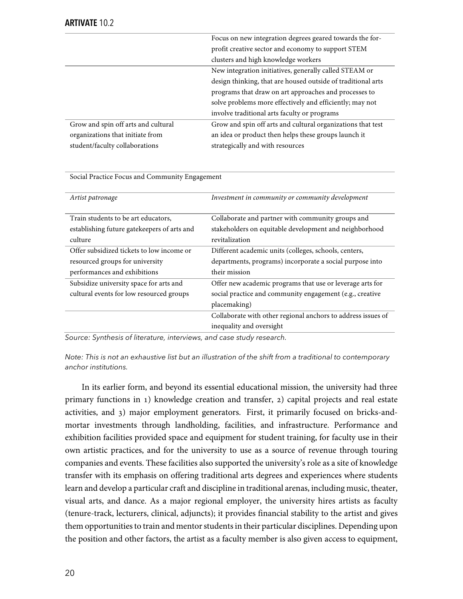|                                     | Focus on new integration degrees geared towards the for-     |
|-------------------------------------|--------------------------------------------------------------|
|                                     | profit creative sector and economy to support STEM           |
|                                     | clusters and high knowledge workers                          |
|                                     | New integration initiatives, generally called STEAM or       |
|                                     | design thinking, that are housed outside of traditional arts |
|                                     | programs that draw on art approaches and processes to        |
|                                     | solve problems more effectively and efficiently; may not     |
|                                     | involve traditional arts faculty or programs                 |
| Grow and spin off arts and cultural | Grow and spin off arts and cultural organizations that test  |
| organizations that initiate from    | an idea or product then helps these groups launch it         |
| student/faculty collaborations      | strategically and with resources                             |

Social Practice Focus and Community Engagement

| Artist patronage                            | Investment in community or community development             |
|---------------------------------------------|--------------------------------------------------------------|
|                                             |                                                              |
| Train students to be art educators,         | Collaborate and partner with community groups and            |
| establishing future gatekeepers of arts and | stakeholders on equitable development and neighborhood       |
| culture                                     | revitalization                                               |
| Offer subsidized tickets to low income or   | Different academic units (colleges, schools, centers,        |
| resourced groups for university             | departments, programs) incorporate a social purpose into     |
| performances and exhibitions                | their mission                                                |
| Subsidize university space for arts and     | Offer new academic programs that use or leverage arts for    |
| cultural events for low resourced groups    | social practice and community engagement (e.g., creative     |
|                                             | placemaking)                                                 |
|                                             | Collaborate with other regional anchors to address issues of |
|                                             | inequality and oversight                                     |
|                                             |                                                              |

*Source: Synthesis of literature, interviews, and case study research.*

*Note: This is not an exhaustive list but an illustration of the shift from a traditional to contemporary anchor institutions.*

In its earlier form, and beyond its essential educational mission, the university had three primary functions in  $1)$  knowledge creation and transfer,  $2)$  capital projects and real estate activities, and 3) major employment generators. First, it primarily focused on bricks-andmortar investments through landholding, facilities, and infrastructure. Performance and exhibition facilities provided space and equipment for student training, for faculty use in their own artistic practices, and for the university to use as a source of revenue through touring companies and events. These facilities also supported the university's role as a site of knowledge transfer with its emphasis on offering traditional arts degrees and experiences where students learn and develop a particular craft and discipline in traditional arenas, including music, theater, visual arts, and dance. As a major regional employer, the university hires artists as faculty (tenure-track, lecturers, clinical, adjuncts); it provides financial stability to the artist and gives them opportunities to train and mentor students in their particular disciplines. Depending upon the position and other factors, the artist as a faculty member is also given access to equipment,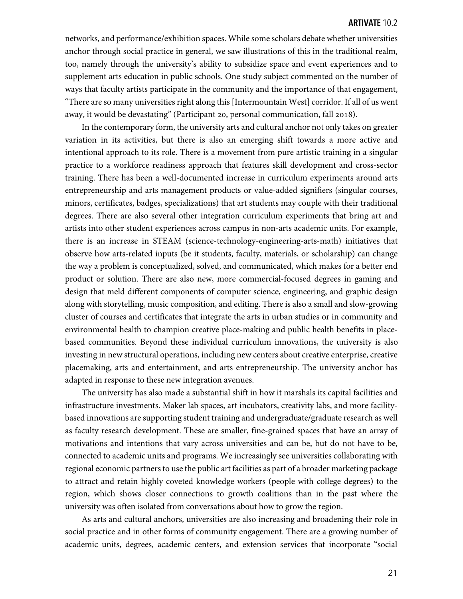networks, and performance/exhibition spaces. While some scholars debate whether universities anchor through social practice in general, we saw illustrations of this in the traditional realm, too, namely through the university's ability to subsidize space and event experiences and to supplement arts education in public schools. One study subject commented on the number of ways that faculty artists participate in the community and the importance of that engagement, "There are so many universities right along this [Intermountain West] corridor. If all of us went away, it would be devastating" (Participant 20, personal communication, fall 2018).

In the contemporary form, the university arts and cultural anchor not only takes on greater variation in its activities, but there is also an emerging shift towards a more active and intentional approach to its role. There is a movement from pure artistic training in a singular practice to a workforce readiness approach that features skill development and cross-sector training. There has been a well-documented increase in curriculum experiments around arts entrepreneurship and arts management products or value-added signifiers (singular courses, minors, certificates, badges, specializations) that art students may couple with their traditional degrees. There are also several other integration curriculum experiments that bring art and artists into other student experiences across campus in non-arts academic units. For example, there is an increase in STEAM (science-technology-engineering-arts-math) initiatives that observe how arts-related inputs (be it students, faculty, materials, or scholarship) can change the way a problem is conceptualized, solved, and communicated, which makes for a better end product or solution. There are also new, more commercial-focused degrees in gaming and design that meld different components of computer science, engineering, and graphic design along with storytelling, music composition, and editing. There is also a small and slow-growing cluster of courses and certificates that integrate the arts in urban studies or in community and environmental health to champion creative place-making and public health benefits in placebased communities. Beyond these individual curriculum innovations, the university is also investing in new structural operations, including new centers about creative enterprise, creative placemaking, arts and entertainment, and arts entrepreneurship. The university anchor has adapted in response to these new integration avenues.

The university has also made a substantial shift in how it marshals its capital facilities and infrastructure investments. Maker lab spaces, art incubators, creativity labs, and more facilitybased innovations are supporting student training and undergraduate/graduate research as well as faculty research development. These are smaller, fine-grained spaces that have an array of motivations and intentions that vary across universities and can be, but do not have to be, connected to academic units and programs. We increasingly see universities collaborating with regional economic partners to use the public art facilities as part of a broader marketing package to attract and retain highly coveted knowledge workers (people with college degrees) to the region, which shows closer connections to growth coalitions than in the past where the university was often isolated from conversations about how to grow the region.

As arts and cultural anchors, universities are also increasing and broadening their role in social practice and in other forms of community engagement. There are a growing number of academic units, degrees, academic centers, and extension services that incorporate "social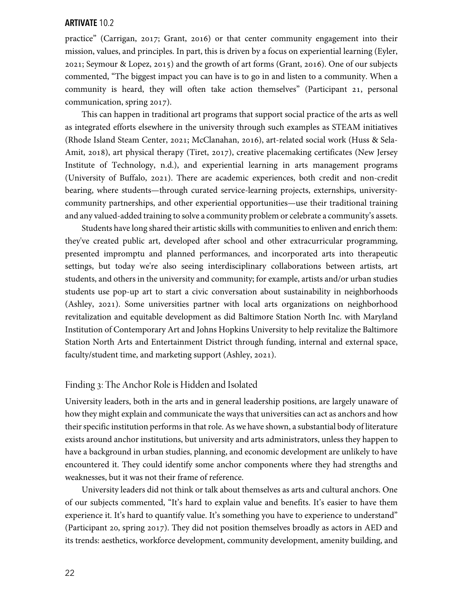practice" (Carrigan, 2017; Grant, 2016) or that center community engagement into their mission, values, and principles. In part, this is driven by a focus on experiential learning (Eyler, 2021; Seymour & Lopez, 2015) and the growth of art forms (Grant, 2016). One of our subjects commented, "The biggest impact you can have is to go in and listen to a community. When a community is heard, they will often take action themselves" (Participant 21, personal communication, spring 2017).

This can happen in traditional art programs that support social practice of the arts as well as integrated efforts elsewhere in the university through such examples as STEAM initiatives (Rhode Island Steam Center, 2021; McClanahan, 2016), art-related social work (Huss & Sela-Amit, 2018), art physical therapy (Tiret, 2017), creative placemaking certificates (New Jersey Institute of Technology, n.d.), and experiential learning in arts management programs (University of Buffalo, 2021). There are academic experiences, both credit and non-credit bearing, where students—through curated service-learning projects, externships, universitycommunity partnerships, and other experiential opportunities—use their traditional training and any valued-added training to solve a community problem or celebrate a community's assets.

Students have long shared their artistic skills with communities to enliven and enrich them: they've created public art, developed after school and other extracurricular programming, presented impromptu and planned performances, and incorporated arts into therapeutic settings, but today we're also seeing interdisciplinary collaborations between artists, art students, and others in the university and community; for example, artists and/or urban studies students use pop-up art to start a civic conversation about sustainability in neighborhoods (Ashley, 2021). Some universities partner with local arts organizations on neighborhood revitalization and equitable development as did Baltimore Station North Inc. with Maryland Institution of Contemporary Art and Johns Hopkins University to help revitalize the Baltimore Station North Arts and Entertainment District through funding, internal and external space, faculty/student time, and marketing support (Ashley, 2021).

#### Finding 3: The Anchor Role is Hidden and Isolated

University leaders, both in the arts and in general leadership positions, are largely unaware of how they might explain and communicate the ways that universities can act as anchors and how their specific institution performs in that role. As we have shown, a substantial body of literature exists around anchor institutions, but university and arts administrators, unless they happen to have a background in urban studies, planning, and economic development are unlikely to have encountered it. They could identify some anchor components where they had strengths and weaknesses, but it was not their frame of reference.

University leaders did not think or talk about themselves as arts and cultural anchors. One of our subjects commented, "It's hard to explain value and benefits. It's easier to have them experience it. It's hard to quantify value. It's something you have to experience to understand" (Participant 20, spring 2017). They did not position themselves broadly as actors in AED and its trends: aesthetics, workforce development, community development, amenity building, and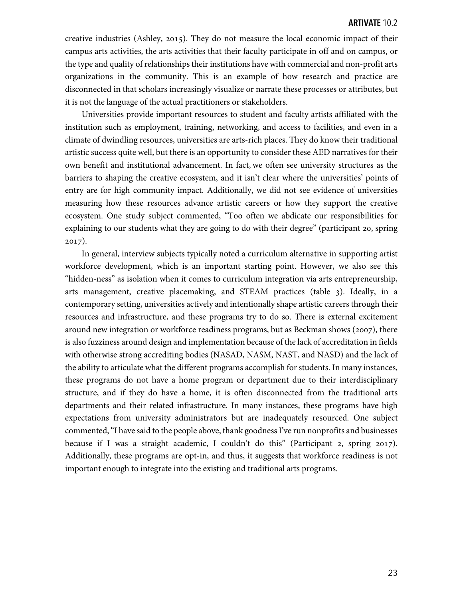creative industries (Ashley, 2015). They do not measure the local economic impact of their campus arts activities, the arts activities that their faculty participate in off and on campus, or the type and quality of relationships their institutions have with commercial and non-profit arts organizations in the community. This is an example of how research and practice are disconnected in that scholars increasingly visualize or narrate these processes or attributes, but it is not the language of the actual practitioners or stakeholders.

Universities provide important resources to student and faculty artists affiliated with the institution such as employment, training, networking, and access to facilities, and even in a climate of dwindling resources, universities are arts-rich places. They do know their traditional artistic success quite well, but there is an opportunity to consider these AED narratives for their own benefit and institutional advancement. In fact, we often see university structures as the barriers to shaping the creative ecosystem, and it isn't clear where the universities' points of entry are for high community impact. Additionally, we did not see evidence of universities measuring how these resources advance artistic careers or how they support the creative ecosystem. One study subject commented, "Too often we abdicate our responsibilities for explaining to our students what they are going to do with their degree" (participant 20, spring  $2017$ ).

In general, interview subjects typically noted a curriculum alternative in supporting artist workforce development, which is an important starting point. However, we also see this "hidden-ness" as isolation when it comes to curriculum integration via arts entrepreneurship, arts management, creative placemaking, and STEAM practices (table 3). Ideally, in a contemporary setting, universities actively and intentionally shape artistic careers through their resources and infrastructure, and these programs try to do so. There is external excitement around new integration or workforce readiness programs, but as Beckman shows ( $2007$ ), there is also fuzziness around design and implementation because of the lack of accreditation in fields with otherwise strong accrediting bodies (NASAD, NASM, NAST, and NASD) and the lack of the ability to articulate what the different programs accomplish for students. In many instances, these programs do not have a home program or department due to their interdisciplinary structure, and if they do have a home, it is often disconnected from the traditional arts departments and their related infrastructure. In many instances, these programs have high expectations from university administrators but are inadequately resourced. One subject commented, "I have said to the people above, thank goodness I've run nonprofits and businesses because if I was a straight academic, I couldn't do this" (Participant 2, spring 2017). Additionally, these programs are opt-in, and thus, it suggests that workforce readiness is not important enough to integrate into the existing and traditional arts programs.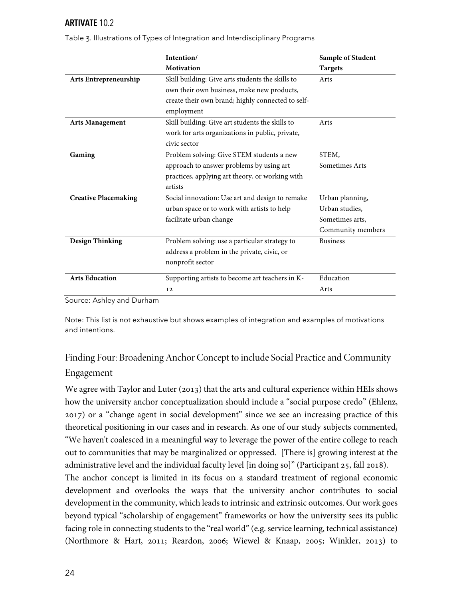|                             | Intention/                                        | Sample of Student |
|-----------------------------|---------------------------------------------------|-------------------|
|                             | <b>Motivation</b>                                 | <b>Targets</b>    |
| Arts Entrepreneurship       | Skill building: Give arts students the skills to  | Arts              |
|                             | own their own business, make new products,        |                   |
|                             | create their own brand; highly connected to self- |                   |
|                             | employment                                        |                   |
| <b>Arts Management</b>      | Skill building: Give art students the skills to   | Arts              |
|                             | work for arts organizations in public, private,   |                   |
|                             | civic sector                                      |                   |
| Gaming                      | Problem solving: Give STEM students a new         | STEM,             |
|                             | approach to answer problems by using art          | Sometimes Arts    |
|                             | practices, applying art theory, or working with   |                   |
|                             | artists                                           |                   |
| <b>Creative Placemaking</b> | Social innovation: Use art and design to remake   | Urban planning,   |
|                             | urban space or to work with artists to help       | Urban studies,    |
|                             | facilitate urban change                           | Sometimes arts,   |
|                             |                                                   | Community members |
| <b>Design Thinking</b>      | Problem solving: use a particular strategy to     | <b>Business</b>   |
|                             | address a problem in the private, civic, or       |                   |
|                             | nonprofit sector                                  |                   |
| <b>Arts Education</b>       | Supporting artists to become art teachers in K-   | Education         |
|                             | 12                                                | Arts              |
| $\sim$ 1 1<br>$\sqrt{2}$    |                                                   |                   |

Table 3. Illustrations of Types of Integration and Interdisciplinary Programs

Source: Ashley and Durham

Note: This list is not exhaustive but shows examples of integration and examples of motivations and intentions.

# Finding Four: Broadening Anchor Concept to include Social Practice and Community Engagement

We agree with Taylor and Luter (2013) that the arts and cultural experience within HEIs shows how the university anchor conceptualization should include a "social purpose credo" (Ehlenz, ) or a "change agent in social development" since we see an increasing practice of this theoretical positioning in our cases and in research. As one of our study subjects commented, "We haven't coalesced in a meaningful way to leverage the power of the entire college to reach out to communities that may be marginalized or oppressed. [There is] growing interest at the administrative level and the individual faculty level [in doing so]" (Participant 25, fall 2018). The anchor concept is limited in its focus on a standard treatment of regional economic development and overlooks the ways that the university anchor contributes to social development in the community, which leads to intrinsic and extrinsic outcomes. Our work goes beyond typical "scholarship of engagement" frameworks or how the university sees its public facing role in connecting students to the "real world" (e.g. service learning, technical assistance) (Northmore & Hart, 2011; Reardon, 2006; Wiewel & Knaap, 2005; Winkler, 2013) to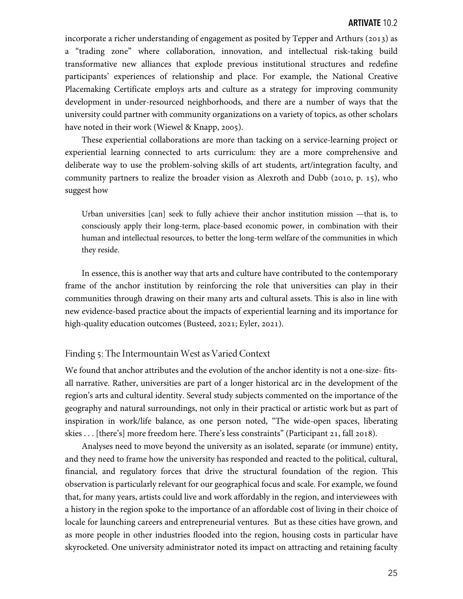incorporate a richer understanding of engagement as posited by Tepper and Arthurs ( $2013$ ) as a "trading zone" where collaboration, innovation, and intellectual risk-taking build transformative new alliances that explode previous institutional structures and redefine participants' experiences of relationship and place. For example, the National Creative Placemaking Certificate employs arts and culture as a strategy for improving community development in under-resourced neighborhoods, and there are a number of ways that the university could partner with community organizations on a variety of topics, as other scholars have noted in their work (Wiewel & Knapp, 2005).

These experiential collaborations are more than tacking on a service-learning project or experiential learning connected to arts curriculum: they are a more comprehensive and deliberate way to use the problem-solving skills of art students, art/integration faculty, and community partners to realize the broader vision as Alexroth and Dubb (2010, p. 15), who suggest how

Urban universities [can] seek to fully achieve their anchor institution mission —that is, to consciously apply their long-term, place-based economic power, in combination with their human and intellectual resources, to better the long-term welfare of the communities in which they reside.

In essence, this is another way that arts and culture have contributed to the contemporary frame of the anchor institution by reinforcing the role that universities can play in their communities through drawing on their many arts and cultural assets. This is also in line with new evidence-based practice about the impacts of experiential learning and its importance for high-quality education outcomes (Busteed, 2021; Eyler, 2021).

#### Finding 5: The Intermountain West as Varied Context

We found that anchor attributes and the evolution of the anchor identity is not a one-size- fitsall narrative. Rather, universities are part of a longer historical arc in the development of the region's arts and cultural identity. Several study subjects commented on the importance of the geography and natural surroundings, not only in their practical or artistic work but as part of inspiration in work/life balance, as one person noted, "The wide-open spaces, liberating skies . . . [there's] more freedom here. There's less constraints" (Participant 21, fall 2018).

Analyses need to move beyond the university as an isolated, separate (or immune) entity, and they need to frame how the university has responded and reacted to the political, cultural, financial, and regulatory forces that drive the structural foundation of the region. This observation is particularly relevant for our geographical focus and scale. For example, we found that, for many years, artists could live and work affordably in the region, and interviewees with a history in the region spoke to the importance of an affordable cost of living in their choice of locale for launching careers and entrepreneurial ventures. But as these cities have grown, and as more people in other industries flooded into the region, housing costs in particular have skyrocketed. One university administrator noted its impact on attracting and retaining faculty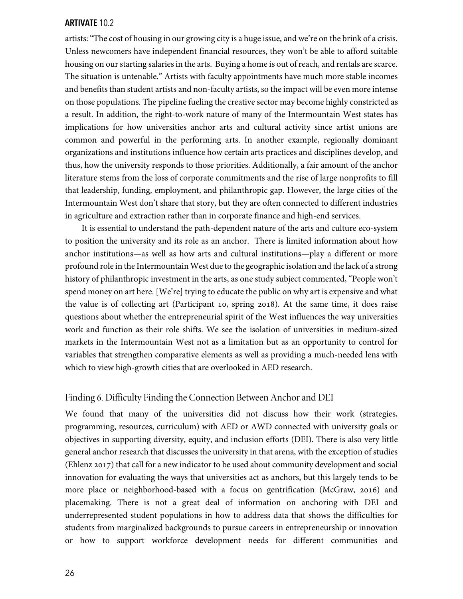artists: "The cost of housing in our growing city is a huge issue, and we're on the brink of a crisis. Unless newcomers have independent financial resources, they won't be able to afford suitable housing on our starting salaries in the arts. Buying a home is out of reach, and rentals are scarce. The situation is untenable." Artists with faculty appointments have much more stable incomes and benefits than student artists and non-faculty artists, so the impact will be even more intense on those populations. The pipeline fueling the creative sector may become highly constricted as a result. In addition, the right-to-work nature of many of the Intermountain West states has implications for how universities anchor arts and cultural activity since artist unions are common and powerful in the performing arts. In another example, regionally dominant organizations and institutions influence how certain arts practices and disciplines develop, and thus, how the university responds to those priorities. Additionally, a fair amount of the anchor literature stems from the loss of corporate commitments and the rise of large nonprofits to fill that leadership, funding, employment, and philanthropic gap. However, the large cities of the Intermountain West don't share that story, but they are often connected to different industries in agriculture and extraction rather than in corporate finance and high-end services.

It is essential to understand the path-dependent nature of the arts and culture eco-system to position the university and its role as an anchor. There is limited information about how anchor institutions—as well as how arts and cultural institutions—play a different or more profound role in the Intermountain West due to the geographic isolation and the lack of a strong history of philanthropic investment in the arts, as one study subject commented, "People won't spend money on art here. [We're] trying to educate the public on why art is expensive and what the value is of collecting art (Participant 10, spring 2018). At the same time, it does raise questions about whether the entrepreneurial spirit of the West influences the way universities work and function as their role shifts. We see the isolation of universities in medium-sized markets in the Intermountain West not as a limitation but as an opportunity to control for variables that strengthen comparative elements as well as providing a much-needed lens with which to view high-growth cities that are overlooked in AED research.

# Finding 6. Difficulty Finding the Connection Between Anchor and DEI

We found that many of the universities did not discuss how their work (strategies, programming, resources, curriculum) with AED or AWD connected with university goals or objectives in supporting diversity, equity, and inclusion efforts (DEI). There is also very little general anchor research that discusses the university in that arena, with the exception of studies (Ehlenz 2017) that call for a new indicator to be used about community development and social innovation for evaluating the ways that universities act as anchors, but this largely tends to be more place or neighborhood-based with a focus on gentrification (McGraw, 2016) and placemaking. There is not a great deal of information on anchoring with DEI and underrepresented student populations in how to address data that shows the difficulties for students from marginalized backgrounds to pursue careers in entrepreneurship or innovation or how to support workforce development needs for different communities and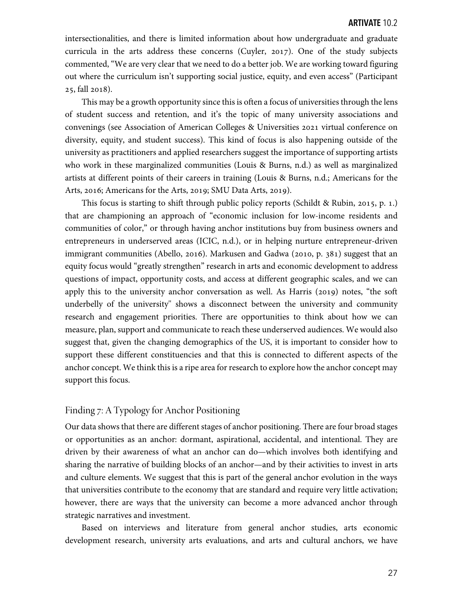intersectionalities, and there is limited information about how undergraduate and graduate curricula in the arts address these concerns (Cuyler, 2017). One of the study subjects commented, "We are very clear that we need to do a better job. We are working toward figuring out where the curriculum isn't supporting social justice, equity, and even access" (Participant 25, fall 2018).

This may be a growth opportunity since this is often a focus of universities through the lens of student success and retention, and it's the topic of many university associations and convenings (see Association of American Colleges & Universities 2021 virtual conference on diversity, equity, and student success). This kind of focus is also happening outside of the university as practitioners and applied researchers suggest the importance of supporting artists who work in these marginalized communities (Louis & Burns, n.d.) as well as marginalized artists at different points of their careers in training (Louis & Burns, n.d.; Americans for the Arts, 2016; Americans for the Arts, 2019; SMU Data Arts, 2019).

This focus is starting to shift through public policy reports (Schildt & Rubin, 2015, p. 1.) that are championing an approach of "economic inclusion for low-income residents and communities of color," or through having anchor institutions buy from business owners and entrepreneurs in underserved areas (ICIC, n.d.), or in helping nurture entrepreneur-driven immigrant communities (Abello, 2016). Markusen and Gadwa (2010, p.  $381$ ) suggest that an equity focus would "greatly strengthen" research in arts and economic development to address questions of impact, opportunity costs, and access at different geographic scales, and we can apply this to the university anchor conversation as well. As Harris (2019) notes, "the soft underbelly of the university'' shows a disconnect between the university and community research and engagement priorities. There are opportunities to think about how we can measure, plan, support and communicate to reach these underserved audiences. We would also suggest that, given the changing demographics of the US, it is important to consider how to support these different constituencies and that this is connected to different aspects of the anchor concept. We think this is a ripe area for research to explore how the anchor concept may support this focus.

#### Finding 7: A Typology for Anchor Positioning

Our data shows that there are different stages of anchor positioning. There are four broad stages or opportunities as an anchor: dormant, aspirational, accidental, and intentional. They are driven by their awareness of what an anchor can do—which involves both identifying and sharing the narrative of building blocks of an anchor—and by their activities to invest in arts and culture elements. We suggest that this is part of the general anchor evolution in the ways that universities contribute to the economy that are standard and require very little activation; however, there are ways that the university can become a more advanced anchor through strategic narratives and investment.

Based on interviews and literature from general anchor studies, arts economic development research, university arts evaluations, and arts and cultural anchors, we have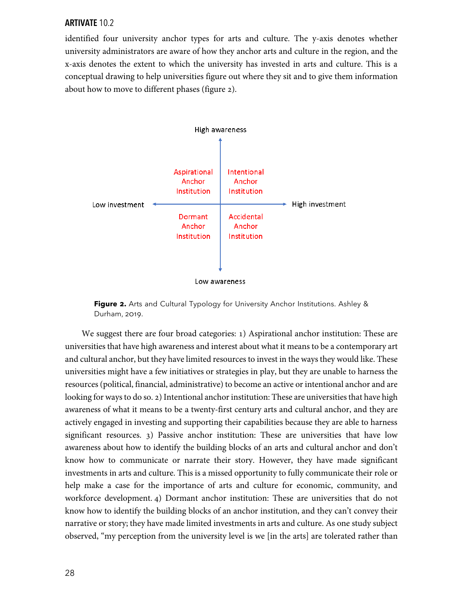identified four university anchor types for arts and culture. The y-axis denotes whether university administrators are aware of how they anchor arts and culture in the region, and the x-axis denotes the extent to which the university has invested in arts and culture. This is a conceptual drawing to help universities figure out where they sit and to give them information about how to move to different phases (figure 2).



**Figure -.** Arts and Cultural Typology for University Anchor Institutions. Ashley & Durham, 2019.

We suggest there are four broad categories: 1) Aspirational anchor institution: These are universities that have high awareness and interest about what it means to be a contemporary art and cultural anchor, but they have limited resources to invest in the ways they would like. These universities might have a few initiatives or strategies in play, but they are unable to harness the resources (political, financial, administrative) to become an active or intentional anchor and are looking for ways to do so. 2) Intentional anchor institution: These are universities that have high awareness of what it means to be a twenty-first century arts and cultural anchor, and they are actively engaged in investing and supporting their capabilities because they are able to harness significant resources. 3) Passive anchor institution: These are universities that have low awareness about how to identify the building blocks of an arts and cultural anchor and don't know how to communicate or narrate their story. However, they have made significant investments in arts and culture. This is a missed opportunity to fully communicate their role or help make a case for the importance of arts and culture for economic, community, and workforce development. 4) Dormant anchor institution: These are universities that do not know how to identify the building blocks of an anchor institution, and they can't convey their narrative or story; they have made limited investments in arts and culture. As one study subject observed, "my perception from the university level is we [in the arts] are tolerated rather than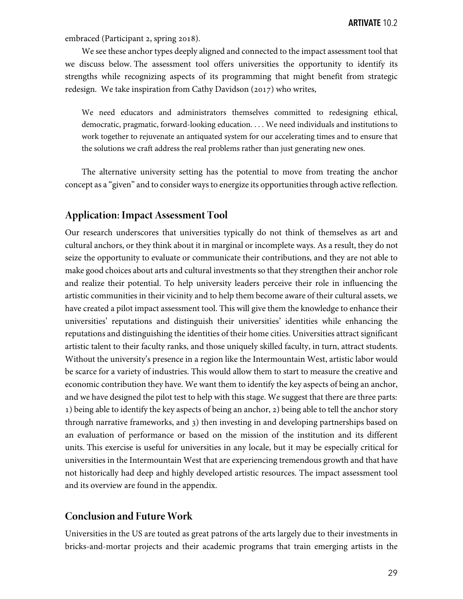embraced (Participant 2, spring 2018).

We see these anchor types deeply aligned and connected to the impact assessment tool that we discuss below. The assessment tool offers universities the opportunity to identify its strengths while recognizing aspects of its programming that might benefit from strategic redesign. We take inspiration from Cathy Davidson  $(2017)$  who writes,

We need educators and administrators themselves committed to redesigning ethical, democratic, pragmatic, forward-looking education. . . . We need individuals and institutions to work together to rejuvenate an antiquated system for our accelerating times and to ensure that the solutions we craft address the real problems rather than just generating new ones.

The alternative university setting has the potential to move from treating the anchor concept as a "given" and to consider ways to energize its opportunities through active reflection.

# **Application: Impact Assessment Tool**

Our research underscores that universities typically do not think of themselves as art and cultural anchors, or they think about it in marginal or incomplete ways. As a result, they do not seize the opportunity to evaluate or communicate their contributions, and they are not able to make good choices about arts and cultural investments so that they strengthen their anchor role and realize their potential. To help university leaders perceive their role in influencing the artistic communities in their vicinity and to help them become aware of their cultural assets, we have created a pilot impact assessment tool. This will give them the knowledge to enhance their universities' reputations and distinguish their universities' identities while enhancing the reputations and distinguishing the identities of their home cities. Universities attract significant artistic talent to their faculty ranks, and those uniquely skilled faculty, in turn, attract students. Without the university's presence in a region like the Intermountain West, artistic labor would be scarce for a variety of industries. This would allow them to start to measure the creative and economic contribution they have. We want them to identify the key aspects of being an anchor, and we have designed the pilot test to help with this stage. We suggest that there are three parts: 1) being able to identify the key aspects of being an anchor, 2) being able to tell the anchor story through narrative frameworks, and ) then investing in and developing partnerships based on an evaluation of performance or based on the mission of the institution and its different units. This exercise is useful for universities in any locale, but it may be especially critical for universities in the Intermountain West that are experiencing tremendous growth and that have not historically had deep and highly developed artistic resources. The impact assessment tool and its overview are found in the appendix.

# **Conclusion and Future Work**

Universities in the US are touted as great patrons of the arts largely due to their investments in bricks-and-mortar projects and their academic programs that train emerging artists in the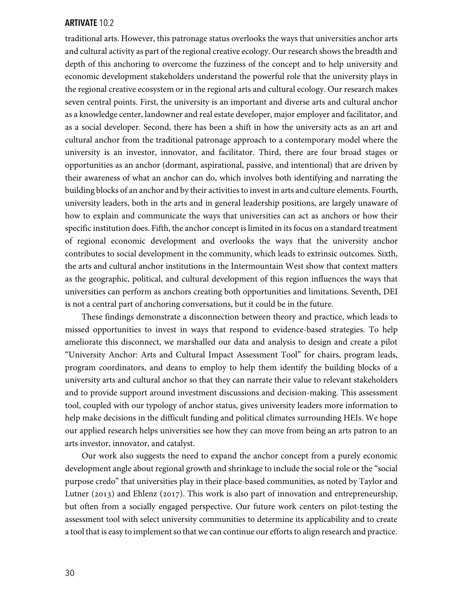traditional arts. However, this patronage status overlooks the ways that universities anchor arts and cultural activity as part of the regional creative ecology. Our research shows the breadth and depth of this anchoring to overcome the fuzziness of the concept and to help university and economic development stakeholders understand the powerful role that the university plays in the regional creative ecosystem or in the regional arts and cultural ecology. Our research makes seven central points. First, the university is an important and diverse arts and cultural anchor as a knowledge center, landowner and real estate developer, major employer and facilitator, and as a social developer. Second, there has been a shift in how the university acts as an art and cultural anchor from the traditional patronage approach to a contemporary model where the university is an investor, innovator, and facilitator. Third, there are four broad stages or opportunities as an anchor (dormant, aspirational, passive, and intentional) that are driven by their awareness of what an anchor can do, which involves both identifying and narrating the building blocks of an anchor and by their activities to invest in arts and culture elements. Fourth, university leaders, both in the arts and in general leadership positions, are largely unaware of how to explain and communicate the ways that universities can act as anchors or how their specific institution does. Fifth, the anchor concept is limited in its focus on a standard treatment of regional economic development and overlooks the ways that the university anchor contributes to social development in the community, which leads to extrinsic outcomes. Sixth, the arts and cultural anchor institutions in the Intermountain West show that context matters as the geographic, political, and cultural development of this region influences the ways that universities can perform as anchors creating both opportunities and limitations. Seventh, DEI is not a central part of anchoring conversations, but it could be in the future.

These findings demonstrate a disconnection between theory and practice, which leads to missed opportunities to invest in ways that respond to evidence-based strategies. To help ameliorate this disconnect, we marshalled our data and analysis to design and create a pilot "University Anchor: Arts and Cultural Impact Assessment Tool" for chairs, program leads, program coordinators, and deans to employ to help them identify the building blocks of a university arts and cultural anchor so that they can narrate their value to relevant stakeholders and to provide support around investment discussions and decision-making. This assessment tool, coupled with our typology of anchor status, gives university leaders more information to help make decisions in the difficult funding and political climates surrounding HEIs. We hope our applied research helps universities see how they can move from being an arts patron to an arts investor, innovator, and catalyst.

Our work also suggests the need to expand the anchor concept from a purely economic development angle about regional growth and shrinkage to include the social role or the "social purpose credo" that universities play in their place-based communities, as noted by Taylor and Lutner (2013) and Ehlenz (2017). This work is also part of innovation and entrepreneurship, but often from a socially engaged perspective. Our future work centers on pilot-testing the assessment tool with select university communities to determine its applicability and to create a tool that is easy to implement so that we can continue our efforts to align research and practice.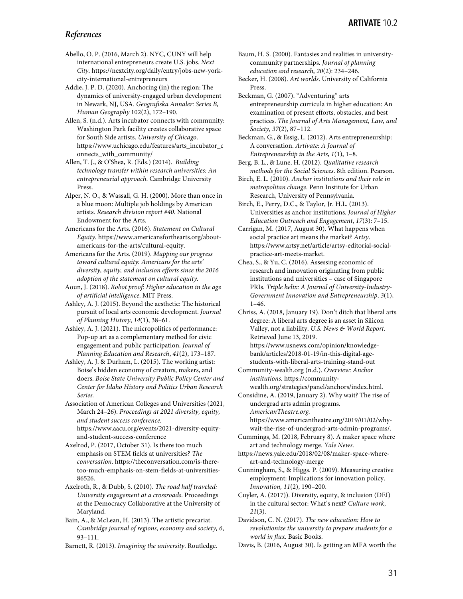#### *References*

Abello, O. P. (2016, March 2). NYC, CUNY will help international entrepreneurs create U.S. jobs. *Next City*. https://nextcity.org/daily/entry/jobs-new-yorkcity-international-entrepreneurs

Addie, J. P. D. (2020). Anchoring (in) the region: The dynamics of university-engaged urban development in Newark, NJ, USA. *Geografiska Annaler: Series B, Human Geography* 102(2), 172–190.

Allen, S. (n.d.). Arts incubator connects with community: Washington Park facility creates collaborative space for South Side artists. *University of Chicago*. https://www.uchicago.edu/features/arts\_incubator\_c onnects\_with\_community/

Allen, T. J., & O'Shea, R. (Eds.) (2014). *Building technology transfer within research universities: An entrepreneurial approach*. Cambridge University Press.

Alper, N. O., & Wassall, G. H. (2000). More than once in a blue moon: Multiple job holdings by American artists*. Research division report #40.* National Endowment for the Arts.

Americans for the Arts. (2016). *Statement on Cultural Equity.* https://www.americansforthearts.org/aboutamericans-for-the-arts/cultural-equity.

Americans for the Arts. (2019). *Mapping our progress toward cultural equity: Americans for the arts' diversity, equity, and inclusion efforts since the 2016 adoption of the statement on cultural equity*.

Aoun, J. (2018). *Robot proof: Higher education in the age of artificial intelligence*. MIT Press.

Ashley, A. J. (2015). Beyond the aesthetic: The historical pursuit of local arts economic development. *Journal of Planning History*, *14*(1), 38–61.

Ashley, A. J. (2021). The micropolitics of performance: Pop-up art as a complementary method for civic engagement and public participation. *Journal of Planning Education and Research*, *41*(2), 173–187.

Ashley, A. J. & Durham, L. (2015). The working artist: Boise's hidden economy of creators, makers, and doers. *Boise State University Public Policy Center and Center for Idaho History and Politics Urban Research Series.*

Association of American Colleges and Universities (2021, March 24–26). *Proceedings at 2021 diversity, equity, and student success conference.*  https://www.aacu.org/events/2021-diversity-equityand-student-success-conference

Axelrod, P. (2017, October 31). Is there too much emphasis on STEM fields at universities? *The conversation*. https://theconversation.com/is-theretoo-much-emphasis-on-stem-fields-at-universities-86526.

Axelroth, R., & Dubb, S. (2010). *The road half traveled: University engagement at a crossroads*. Proceedings at the Democracy Collaborative at the University of Maryland.

Bain, A., & McLean, H. (2013). The artistic precariat. *Cambridge journal of regions, economy and society, 6*, 93–111.

Barnett, R. (2013). *Imagining the university*. Routledge.

Baum, H. S. (2000). Fantasies and realities in universitycommunity partnerships. *Journal of planning education and research*, *20*(2): 234–246.

Becker, H. (2008). *Art worlds*. University of California Press.

Beckman, G. (2007). "Adventuring" arts entrepreneurship curricula in higher education: An examination of present efforts, obstacles, and best practices. *The Journal of Arts Management, Law, and Society*, *37*(2), 87–112.

Beckman, G., & Essig, L. (2012). Arts entrepreneurship: A conversation. *Artivate: A Journal of Entrepreneurship in the Arts*, *1*(1), 1–8.

Berg, B. L., & Lune, H. (2012). *Qualitative research methods for the Social Sciences*. 8th edition. Pearson.

Birch, E. L. (2010). *Anchor institutions and their role in metropolitan change*. Penn Institute for Urban Research, University of Pennsylvania.

Birch, E., Perry, D.C., & Taylor, Jr. H.L. (2013). Universities as anchor institutions. *Journal of Higher Education Outreach and Engagement*, *17*(3): 7–15.

Carrigan, M. (2017, August 30). What happens when social practice art means the market? *Artsy*. https://www.artsy.net/article/artsy-editorial-socialpractice-art-meets-market.

Chea, S., & Yu, C. (2016). Assessing economic of research and innovation originating from public institutions and universities – case of Singapore PRIs. *Triple helix: A Journal of University-Industry-Government Innovation and Entrepreneurship*, *3*(1),  $1-46.$ 

Chriss, A. (2018, January 19). Don't ditch that liberal arts degree: A liberal arts degree is an asset in Silicon Valley, not a liability. *U.S. News & World Report*. Retrieved June 13, 2019. https://www.usnews.com/opinion/knowledgebank/articles/2018-01-19/in-this-digital-age-

students-with-liberal-arts-training-stand-out Community-wealth.org (n.d.). *Overview: Anchor institutions.* https://community-

wealth.org/strategies/panel/anchors/index.html. Considine, A. (2019, January 2). Why wait? The rise of

undergrad arts admin programs. *AmericanTheatre.org.*

https://www.americantheatre.org/2019/01/02/whywait-the-rise-of-undergrad-arts-admin-programs/.

Cummings, M. (2018, February 8). A maker space where art and technology merge. *Yale News*.

https://news.yale.edu/2018/02/08/maker-space-whereart-and-technology-merge

Cunningham, S., & Higgs. P. (2009). Measuring creative employment: Implications for innovation policy. *Innovation, 11*(2), 190–200.

Cuyler, A. (2017)). Diversity, equity, & inclusion (DEI) in the cultural sector: What's next? *Culture work*, *21*(3).

Davidson, C. N. (2017). *The new education: How to revolutionize the university to prepare students for a world in flux*. Basic Books.

Davis, B. (2016, August 30). Is getting an MFA worth the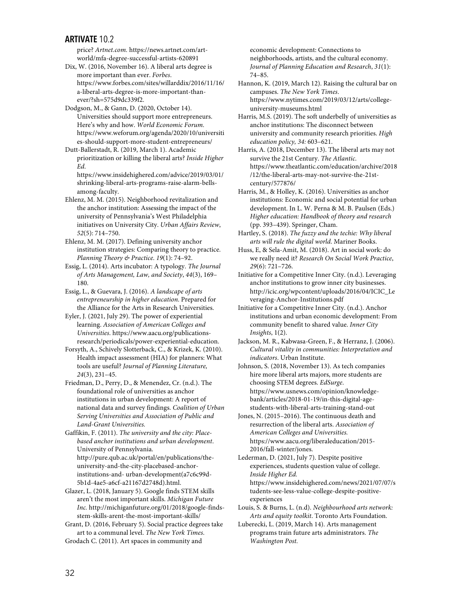price? *Artnet.com.* https://news.artnet.com/artworld/mfa-degree-successful-artists-620891

Dix, W. (2016, November 16). A liberal arts degree is more important than ever. *Forbes*. https://www.forbes.com/sites/willarddix/2016/11/16/ a-liberal-arts-degree-is-more-important-thanever/?sh=575d9dc339f2.

Dodgson, M., & Gann, D. (2020, October 14). Universities should support more entrepreneurs. Here's why and how. *World Economic Forum.* https://www.weforum.org/agenda/2020/10/universiti es-should-support-more-student-entrepreneurs/

Dutt-Ballerstadt, R. (2019, March 1). Academic prioritization or killing the liberal arts? *Inside Higher Ed*.

https://www.insidehighered.com/advice/2019/03/01/ shrinking-liberal-arts-programs-raise-alarm-bellsamong-faculty.

Ehlenz, M. M. (2015). Neighborhood revitalization and the anchor institution: Assessing the impact of the university of Pennsylvania's West Philadelphia initiatives on University City. *Urban Affairs Review*, *52*(5): 714–750.

Ehlenz, M. M. (2017). Defining university anchor institution strategies: Comparing theory to practice. *Planning Theory & Practice*. *19*(1): 74–92.

Essig, L. (2014). Arts incubator: A typology. *The Journal of Arts Management, Law, and Society*, *44*(3), 169– 180.

Essig, L., & Guevara, J. (2016). *A landscape of arts entrepreneurship in higher education*. Prepared for the Alliance for the Arts in Research Universities.

Eyler, J. (2021, July 29). The power of experiential learning. *Association of American Colleges and Universities*. https://www.aacu.org/publicationsresearch/periodicals/power-experiential-education.

Forsyth, A., Schively Slotterback, C., & Krizek, K. (2010). Health impact assessment (HIA) for planners: What tools are useful? *Journal of Planning Literature, 24*(3), 231–45.

Friedman, D., Perry, D., & Menendez, Cr. (n.d.). The foundational role of universities as anchor institutions in urban development: A report of national data and survey findings. *Coalition of Urban Serving Universities and Association of Public and Land-Grant Universities.*

Gaffikin, F. (2011). *The university and the city: Placebased anchor institutions and urban development*. University of Pennsylvania. http://pure.qub.ac.uk/portal/en/publications/theuniversity-and-the-city-placebased-anchorinstitutions-and- urban-development(a7c6c99d-5b1d-4ae5-a6cf-a21167d2748d).html.

Glazer, L. (2018, January 5). Google finds STEM skills aren't the most important skills. *Michigan Future Inc.* http://michiganfuture.org/01/2018/google-findsstem-skills-arent-the-most-important-skills/

Grant, D. (2016, February 5). Social practice degrees take art to a communal level. *The New York Times*. Grodach C. (2011). Art spaces in community and

economic development: Connections to neighborhoods, artists, and the cultural economy. *Journal of Planning Education and Research*, *31*(1): 74–85.

Hannon, K. (2019, March 12). Raising the cultural bar on campuses. *The New York Times*. https://www.nytimes.com/2019/03/12/arts/collegeuniversity-museums.html

Harris, M.S. (2019). The soft underbelly of universities as anchor institutions: The disconnect between university and community research priorities. *High education policy, 34:* 603–621.

Harris, A. (2018, December 13). The liberal arts may not survive the 21st Century. *The Atlantic*. https://www.theatlantic.com/education/archive/2018 /12/the-liberal-arts-may-not-survive-the-21stcentury/577876/

Harris, M., & Holley, K. (2016). Universities as anchor institutions: Economic and social potential for urban development. In L. W. Perna & M. B. Paulsen (Eds.) *Higher education: Handbook of theory and research* (pp. 393–439). Springer, Cham.

Hartley, S. (2018). *The fuzzy and the techie: Why liberal arts will rule the digital world*. Mariner Books.

Huss, E, & Sela-Amit, M. (2018). Art in social work: do we really need it? *Research On Social Work Practice*, *29*(6): 721–726.

Initiative for a Competitive Inner City. (n.d.). Leveraging anchor institutions to grow inner city businesses. http://icic.org/wpcontent/uploads/2016/04/ICIC\_Le veraging-Anchor-Institutions.pdf

Initiative for a Competitive Inner City. (n.d.). Anchor institutions and urban economic development: From community benefit to shared value. *Inner City Insights*, 1(2).

Jackson, M. R., Kabwasa-Green, F., & Herranz, J. (2006). *Cultural vitality in communities: Interpretation and indicators*. Urban Institute.

Johnson, S. (2018, November 13). As tech companies hire more liberal arts majors, more students are choosing STEM degrees. *EdSurge*. https://www.usnews.com/opinion/knowledgebank/articles/2018-01-19/in-this-digital-agestudents-with-liberal-arts-training-stand-out

Jones, N. (2015–2016). The continuous death and resurrection of the liberal arts. *Association of American Colleges and Universities.* https://www.aacu.org/liberaleducation/2015- 2016/fall-winter/jones.

Lederman, D. (2021, July 7). Despite positive experiences, students question value of college. *Inside Higher Ed.* https://www.insidehighered.com/news/2021/07/07/s tudents-see-less-value-college-despite-positiveexperiences

Louis, S. & Burns, L. (n.d). *Neighbourhood arts network: Arts and equity toolkit*. Toronto Arts Foundation.

Luberecki, L. (2019, March 14). Arts management programs train future arts administrators. *The Washington Post.*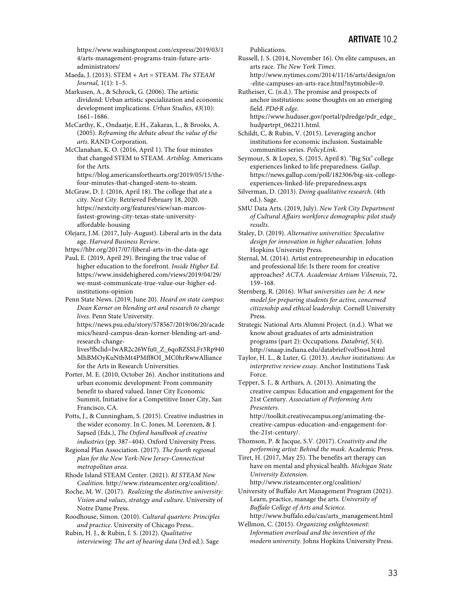https://www.washingtonpost.com/express/2019/03/1 4/arts-management-programs-train-future-artsadministrators/

Maeda, J. (2013). STEM + Art = STEAM. *The STEAM Journal,* 1(1): 1–5*.*

Markusen, A., & Schrock, G. (2006). The artistic dividend: Urban artistic specialization and economic development implications. *Urban Studies*, *43*(10): 1661–1686.

McCarthy, K., Ondaatje, E.H., Zakaras, L., & Brooks, A. (2005). *Reframing the debate about the value of the arts*. RAND Corporation.

McClanahan, K. O. (2016, April 1). The four minutes that changed STEM to STEAM. *Artsblog*. Americans for the Arts.

https://blog.americansforthearts.org/2019/05/15/thefour-minutes-that-changed-stem-to-steam.

McGraw, D. J. (2016, April 18). The college that ate a city. *Next City*. Retrieved February 18, 2020. https://nextcity.org/features/view/san-marcosfastest-growing-city-texas-state-universityaffordable-housing

Olejarz, J.M. (2017, July-August). Liberal arts in the data age. *Harvard Business Review*.

https://hbr.org/2017/07/liberal-arts-in-the-data-age

Paul, E. (2019, April 29). Bringing the true value of higher education to the forefront. *Inside Higher Ed.* https://www.insidehighered.com/views/2019/04/29/ we-must-communicate-true-value-our-higher-edinstitutions-opinion

Penn State News. (2019, June 20). *Heard on state campus: Dean Korner on blending art and research to change lives*. Penn State University.

https://news.psu.edu/story/578567/2019/06/20/acade mics/heard-campus-dean-korner-blending-art-andresearch-change-

lives?fbclid=IwAR2c26Wfu0\_Z\_6qoBZSSLFr3Rp940 MhBMOyKuNtbMt4PMff8OI\_MC0hrRwwAlliance for the Arts in Research Universities.

Porter, M. E. (2010, October 26). Anchor institutions and urban economic development: From community benefit to shared valued. Inner City Economic Summit, Initiative for a Competitive Inner City, San Francisco, CA.

Potts, J., & Cunningham, S. (2015). Creative industries in the wider economy. In C. Jones, M. Lorenzen, & J. Sapsed (Eds.), *The Oxford handbook of creative industries* (pp. 387–404). Oxford University Press.

Regional Plan Association. (2017). *The fourth regional plan for the New York-New Jersey-Connecticut metropolitan area*.

Rhode Island STEAM Center. (2021). *RI STEAM Now Coalition.* http://www.risteamcenter.org/coalition/.

Roche, M. W. (2017). *Realizing the distinctive university: Vision and values, strategy and culture*. University of Notre Dame Press.

Roodhouse, Simon. (2010). *Cultural quarters: Principles and practice*. University of Chicago Press..

Rubin, H. J., & Rubin, I. S. (2012). *Qualitative interviewing: The art of hearing data* (3rd ed.). Sage Publications.

Russell, J. S. (2014, November 16). On elite campuses, an arts race. *The New York Times*. http://www.nytimes.com/2014/11/16/arts/design/on -elite-campuses-an-arts-race.html?nytmobile=0.

Rutheiser, C. (n.d.). The promise and prospects of anchor institutions: some thoughts on an emerging field. *PD&R edge.* https://www.huduser.gov/portal/pdredge/pdr\_edge\_ hudpartrpt\_062211.html.

Schildt, C, & Rubin, V. (2015). Leveraging anchor institutions for economic inclusion. Sustainable communities series. *PolicyLink*.

Seymour, S. & Lopez, S. (2015, April 8). "Big Six" college experiences linked to life preparedness. *Gallup*. https://news.gallup.com/poll/182306/big-six-collegeexperiences-linked-life-preparedness.aspx

Silverman, D. (2013). *Doing qualitative research*. (4th ed.). Sage.

SMU Data Arts. (2019, July). *New York City Department of Cultural Affairs workforce demographic pilot study results.*

Staley, D. (2019). *Alternative universities: Speculative design for innovation in higher education*. Johns Hopkins University Press.

Sternal, M. (2014). Artist entrepreneurship in education and professional life: Is there room for creative approaches? *ACTA. Academiae Artium Vilnensis*, 72, 159–168.

Sternberg, R. (2016). *What universities can be: A new model for preparing students for active, concerned citizenship and ethical leadership.* Cornell University Press*.*

Strategic National Arts Alumni Project. (n.d.). What we know about graduates of arts administration programs (part 2): Occupations. *Databrief*, 5(4). http://snaap.indiana.edu/databrief/vol5no4.html

Taylor, H. L., & Luter, G. (2013). *Anchor institutions: An interpretive review essay*. Anchor Institutions Task Force.

Tepper, S. J., & Arthurs, A. (2013). Animating the creative campus: Education and engagement for the 21st Century. *Association of Performing Arts Presenters*.

http://toolkit.creativecampus.org/animating-thecreative-campus-education-and-engagement-forthe-21st-century/.

Thomson, P. & Jacque, S.V. (2017). *Creativity and the performing artist: Behind the mask*. Academic Press.

Tiret, H. (2017, May 25). The benefits art therapy can have on mental and physical health. *Michigan State University Extension.*

http://www.risteamcenter.org/coalition/ University of Buffalo Art Management Program (2021). Learn, practice, manage the arts. *University of Buffalo College of Arts and Science.* http://www.buffalo.edu/cas/arts\_management.html

Wellmon, C. (2015). *Organizing enlightenment: Information overload and the invention of the modern university*. Johns Hopkins University Press.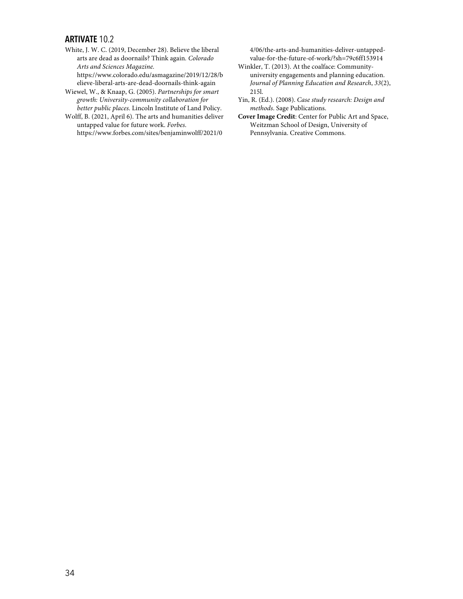White, J. W. C. (2019, December 28). Believe the liberal arts are dead as doornails? Think again*. Colorado Arts and Sciences Magazine.* https://www.colorado.edu/asmagazine/2019/12/28/b

elieve-liberal-arts-are-dead-doornails-think-again Wiewel, W., & Knaap, G. (2005). *Partnerships for smart growth: University-community collaboration for* 

*better public places*. Lincoln Institute of Land Policy. Wolff, B. (2021, April 6). The arts and humanities deliver untapped value for future work. *Forbes*. https://www.forbes.com/sites/benjaminwolff/2021/0

4/06/the-arts-and-humanities-deliver-untappedvalue-for-the-future-of-work/?sh=79c6ff153914

Winkler, T. (2013). At the coalface: Communityuniversity engagements and planning education. *Journal of Planning Education and Research*, *33*(2), 215l.

Yin, R. (Ed.). (2008). *Case study research: Design and methods*. Sage Publications.

**Cover Image Credit**: Center for Public Art and Space, Weitzman School of Design, University of Pennsylvania. Creative Commons.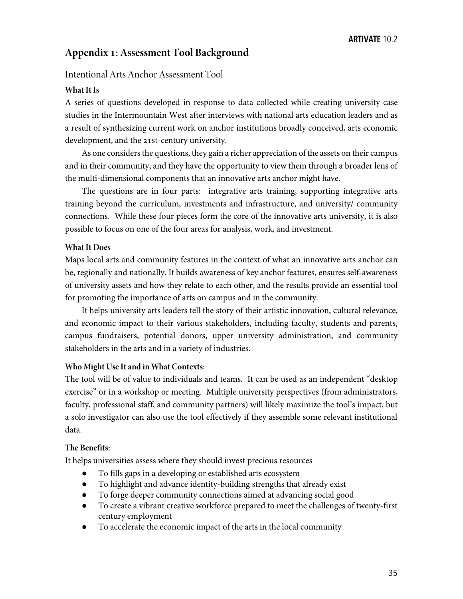# **Appendix : Assessment Tool Background**

# Intentional Arts Anchor Assessment Tool

# **What It Is**

A series of questions developed in response to data collected while creating university case studies in the Intermountain West after interviews with national arts education leaders and as a result of synthesizing current work on anchor institutions broadly conceived, arts economic development, and the 21st-century university.

As one considers the questions, they gain a richer appreciation of the assets on their campus and in their community, and they have the opportunity to view them through a broader lens of the multi-dimensional components that an innovative arts anchor might have.

The questions are in four parts: integrative arts training, supporting integrative arts training beyond the curriculum, investments and infrastructure, and university/ community connections. While these four pieces form the core of the innovative arts university, it is also possible to focus on one of the four areas for analysis, work, and investment.

## **What It Does**

Maps local arts and community features in the context of what an innovative arts anchor can be, regionally and nationally. It builds awareness of key anchor features, ensures self-awareness of university assets and how they relate to each other, and the results provide an essential tool for promoting the importance of arts on campus and in the community.

It helps university arts leaders tell the story of their artistic innovation, cultural relevance, and economic impact to their various stakeholders, including faculty, students and parents, campus fundraisers, potential donors, upper university administration, and community stakeholders in the arts and in a variety of industries.

## **Who Might Use It and in What Contexts:**

The tool will be of value to individuals and teams. It can be used as an independent "desktop exercise" or in a workshop or meeting. Multiple university perspectives (from administrators, faculty, professional staff, and community partners) will likely maximize the tool's impact, but a solo investigator can also use the tool effectively if they assemble some relevant institutional data.

## **The Benefits:**

It helps universities assess where they should invest precious resources

- To fills gaps in a developing or established arts ecosystem
- To highlight and advance identity-building strengths that already exist
- To forge deeper community connections aimed at advancing social good
- To create a vibrant creative workforce prepared to meet the challenges of twenty-first century employment
- To accelerate the economic impact of the arts in the local community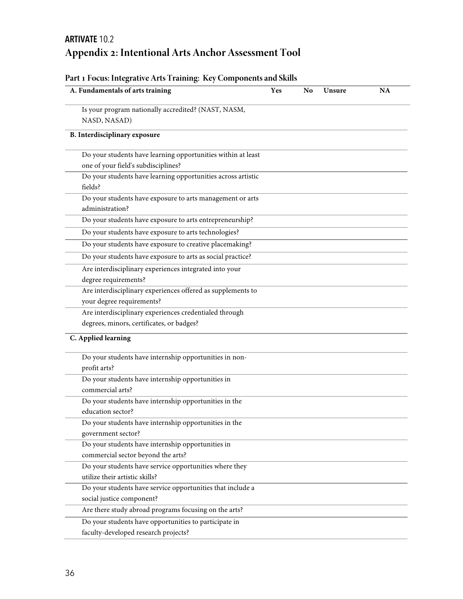# **ARTIVATE** 10.2 **Appendix : Intentional Arts Anchor Assessment Tool**

| A. Fundamentals of arts training                             | Yes | N <sub>o</sub> | Unsure | <b>NA</b> |
|--------------------------------------------------------------|-----|----------------|--------|-----------|
| Is your program nationally accredited? (NAST, NASM,          |     |                |        |           |
| NASD, NASAD)                                                 |     |                |        |           |
| B. Interdisciplinary exposure                                |     |                |        |           |
| Do your students have learning opportunities within at least |     |                |        |           |
| one of your field's subdisciplines?                          |     |                |        |           |
| Do your students have learning opportunities across artistic |     |                |        |           |
| fields?                                                      |     |                |        |           |
| Do your students have exposure to arts management or arts    |     |                |        |           |
| administration?                                              |     |                |        |           |
| Do your students have exposure to arts entrepreneurship?     |     |                |        |           |
| Do your students have exposure to arts technologies?         |     |                |        |           |
| Do your students have exposure to creative placemaking?      |     |                |        |           |
| Do your students have exposure to arts as social practice?   |     |                |        |           |
| Are interdisciplinary experiences integrated into your       |     |                |        |           |
| degree requirements?                                         |     |                |        |           |
| Are interdisciplinary experiences offered as supplements to  |     |                |        |           |
| your degree requirements?                                    |     |                |        |           |
| Are interdisciplinary experiences credentialed through       |     |                |        |           |
| degrees, minors, certificates, or badges?                    |     |                |        |           |
| C. Applied learning                                          |     |                |        |           |
| Do your students have internship opportunities in non-       |     |                |        |           |
| profit arts?                                                 |     |                |        |           |
| Do your students have internship opportunities in            |     |                |        |           |
| commercial arts?                                             |     |                |        |           |
| Do your students have internship opportunities in the        |     |                |        |           |
| education sector?                                            |     |                |        |           |
| Do your students have internship opportunities in the        |     |                |        |           |
| government sector?                                           |     |                |        |           |
| Do your students have internship opportunities in            |     |                |        |           |
| commercial sector beyond the arts?                           |     |                |        |           |
| Do your students have service opportunities where they       |     |                |        |           |
| utilize their artistic skills?                               |     |                |        |           |
| Do your students have service opportunities that include a   |     |                |        |           |
| social justice component?                                    |     |                |        |           |
| Are there study abroad programs focusing on the arts?        |     |                |        |           |
| Do your students have opportunities to participate in        |     |                |        |           |
| faculty-developed research projects?                         |     |                |        |           |

# **Part Focus: Integrative Arts Training: Key Components and Skills**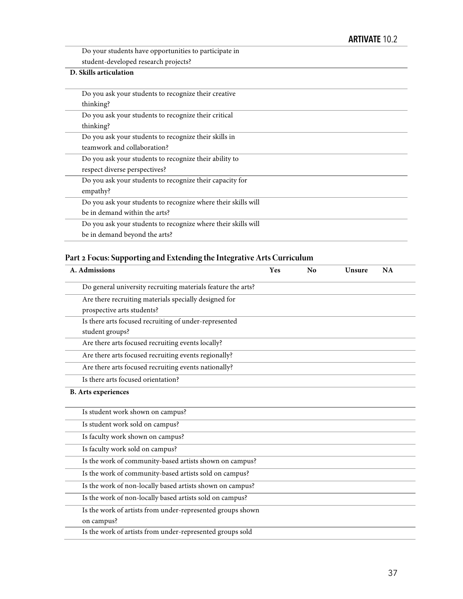Do your students have opportunities to participate in student-developed research projects?

# **D. Skills articulation**

| Do you ask your students to recognize their creative          |
|---------------------------------------------------------------|
| thinking?                                                     |
| Do you ask your students to recognize their critical          |
| thinking?                                                     |
| Do you ask your students to recognize their skills in         |
| teamwork and collaboration?                                   |
| Do you ask your students to recognize their ability to        |
| respect diverse perspectives?                                 |
| Do you ask your students to recognize their capacity for      |
| empathy?                                                      |
| Do you ask your students to recognize where their skills will |
| be in demand within the arts?                                 |
| Do you ask your students to recognize where their skills will |
| be in demand beyond the arts?                                 |
|                                                               |

# **Part Focus: Supporting and Extending the Integrative Arts Curriculum**

| A. Admissions                                                | Yes | No | Unsure | NA |
|--------------------------------------------------------------|-----|----|--------|----|
| Do general university recruiting materials feature the arts? |     |    |        |    |
| Are there recruiting materials specially designed for        |     |    |        |    |
| prospective arts students?                                   |     |    |        |    |
| Is there arts focused recruiting of under-represented        |     |    |        |    |
| student groups?                                              |     |    |        |    |
| Are there arts focused recruiting events locally?            |     |    |        |    |
| Are there arts focused recruiting events regionally?         |     |    |        |    |
| Are there arts focused recruiting events nationally?         |     |    |        |    |
| Is there arts focused orientation?                           |     |    |        |    |
| <b>B.</b> Arts experiences                                   |     |    |        |    |
| Is student work shown on campus?                             |     |    |        |    |
| Is student work sold on campus?                              |     |    |        |    |
| Is faculty work shown on campus?                             |     |    |        |    |
| Is faculty work sold on campus?                              |     |    |        |    |
| Is the work of community-based artists shown on campus?      |     |    |        |    |
| Is the work of community-based artists sold on campus?       |     |    |        |    |
| Is the work of non-locally based artists shown on campus?    |     |    |        |    |
| Is the work of non-locally based artists sold on campus?     |     |    |        |    |
| Is the work of artists from under-represented groups shown   |     |    |        |    |
| on campus?                                                   |     |    |        |    |
| Is the work of artists from under-represented groups sold    |     |    |        |    |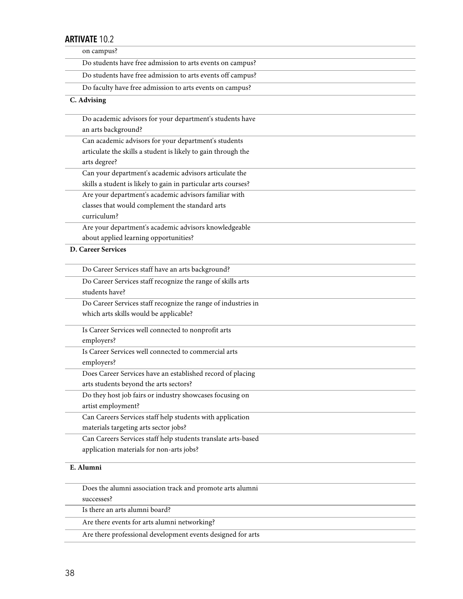| ARIIVAIE IU.Z                                                      |  |
|--------------------------------------------------------------------|--|
| on campus?                                                         |  |
| Do students have free admission to arts events on campus?          |  |
| Do students have free admission to arts events off campus?         |  |
| Do faculty have free admission to arts events on campus?           |  |
| C. Advising                                                        |  |
|                                                                    |  |
| Do academic advisors for your department's students have           |  |
| an arts background?                                                |  |
| Can academic advisors for your department's students               |  |
| articulate the skills a student is likely to gain through the      |  |
| arts degree?                                                       |  |
| Can your department's academic advisors articulate the             |  |
| skills a student is likely to gain in particular arts courses?     |  |
| Are your department's academic advisors familiar with              |  |
| classes that would complement the standard arts<br>curriculum?     |  |
|                                                                    |  |
| Are your department's academic advisors knowledgeable              |  |
| about applied learning opportunities?<br><b>D. Career Services</b> |  |
|                                                                    |  |
| Do Career Services staff have an arts background?                  |  |
| Do Career Services staff recognize the range of skills arts        |  |
| students have?                                                     |  |
| Do Career Services staff recognize the range of industries in      |  |
| which arts skills would be applicable?                             |  |
| Is Career Services well connected to nonprofit arts                |  |
| employers?                                                         |  |
| Is Career Services well connected to commercial arts               |  |
| employers?                                                         |  |
| Does Career Services have an established record of placing         |  |
| arts students beyond the arts sectors?                             |  |
| Do they host job fairs or industry showcases focusing on           |  |
| artist employment?                                                 |  |
| Can Careers Services staff help students with application          |  |
| materials targeting arts sector jobs?                              |  |
| Can Careers Services staff help students translate arts-based      |  |
| application materials for non-arts jobs?                           |  |
| E. Alumni                                                          |  |
| Does the alumni association track and promote arts alumni          |  |
| successes?                                                         |  |
| Is there an arts alumni board?                                     |  |
| Are there events for arts alumni networking?                       |  |

Are there professional development events designed for arts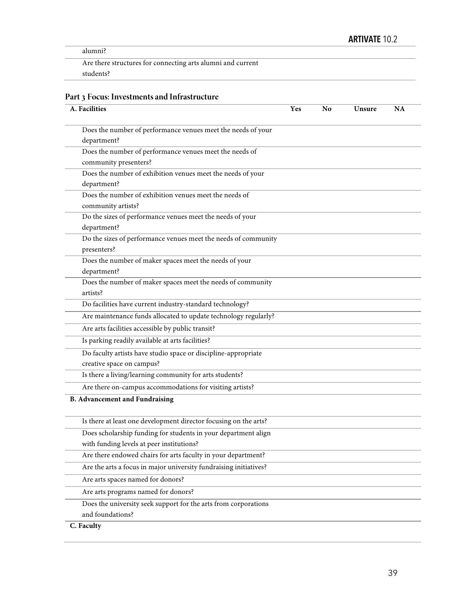alumni?

Are there structures for connecting arts alumni and current students?

# **Part Focus: Investments and Infrastructure**

| A. Facilities                                                     | Yes | N <sub>0</sub> | Unsure | <b>NA</b> |
|-------------------------------------------------------------------|-----|----------------|--------|-----------|
| Does the number of performance venues meet the needs of your      |     |                |        |           |
| department?                                                       |     |                |        |           |
| Does the number of performance venues meet the needs of           |     |                |        |           |
| community presenters?                                             |     |                |        |           |
| Does the number of exhibition venues meet the needs of your       |     |                |        |           |
| department?                                                       |     |                |        |           |
| Does the number of exhibition venues meet the needs of            |     |                |        |           |
| community artists?                                                |     |                |        |           |
| Do the sizes of performance venues meet the needs of your         |     |                |        |           |
| department?                                                       |     |                |        |           |
| Do the sizes of performance venues meet the needs of community    |     |                |        |           |
| presenters?                                                       |     |                |        |           |
| Does the number of maker spaces meet the needs of your            |     |                |        |           |
| department?                                                       |     |                |        |           |
| Does the number of maker spaces meet the needs of community       |     |                |        |           |
| artists?                                                          |     |                |        |           |
| Do facilities have current industry-standard technology?          |     |                |        |           |
| Are maintenance funds allocated to update technology regularly?   |     |                |        |           |
| Are arts facilities accessible by public transit?                 |     |                |        |           |
| Is parking readily available at arts facilities?                  |     |                |        |           |
| Do faculty artists have studio space or discipline-appropriate    |     |                |        |           |
| creative space on campus?                                         |     |                |        |           |
| Is there a living/learning community for arts students?           |     |                |        |           |
| Are there on-campus accommodations for visiting artists?          |     |                |        |           |
| <b>B. Advancement and Fundraising</b>                             |     |                |        |           |
| Is there at least one development director focusing on the arts?  |     |                |        |           |
| Does scholarship funding for students in your department align    |     |                |        |           |
| with funding levels at peer institutions?                         |     |                |        |           |
| Are there endowed chairs for arts faculty in your department?     |     |                |        |           |
| Are the arts a focus in major university fundraising initiatives? |     |                |        |           |
| Are arts spaces named for donors?                                 |     |                |        |           |
| Are arts programs named for donors?                               |     |                |        |           |
| Does the university seek support for the arts from corporations   |     |                |        |           |
| and foundations?                                                  |     |                |        |           |
| C. Faculty                                                        |     |                |        |           |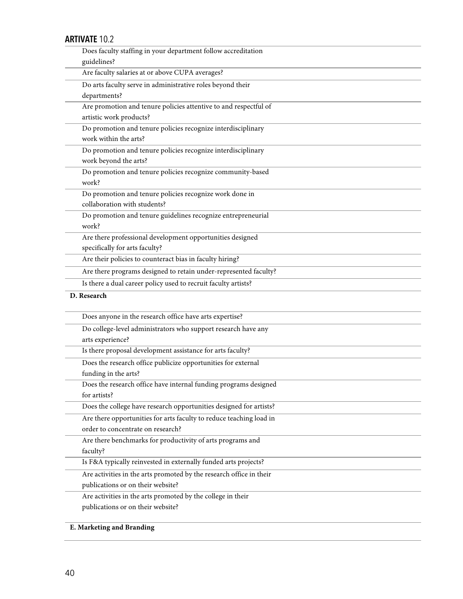| Does faculty staffing in your department follow accreditation       |
|---------------------------------------------------------------------|
| guidelines?                                                         |
| Are faculty salaries at or above CUPA averages?                     |
| Do arts faculty serve in administrative roles beyond their          |
| departments?                                                        |
| Are promotion and tenure policies attentive to and respectful of    |
| artistic work products?                                             |
| Do promotion and tenure policies recognize interdisciplinary        |
| work within the arts?                                               |
| Do promotion and tenure policies recognize interdisciplinary        |
| work beyond the arts?                                               |
| Do promotion and tenure policies recognize community-based          |
| work?                                                               |
| Do promotion and tenure policies recognize work done in             |
| collaboration with students?                                        |
| Do promotion and tenure guidelines recognize entrepreneurial        |
| work?                                                               |
| Are there professional development opportunities designed           |
| specifically for arts faculty?                                      |
| Are their policies to counteract bias in faculty hiring?            |
| Are there programs designed to retain under-represented faculty?    |
| Is there a dual career policy used to recruit faculty artists?      |
|                                                                     |
| D. Research                                                         |
| Does anyone in the research office have arts expertise?             |
| Do college-level administrators who support research have any       |
| arts experience?                                                    |
| Is there proposal development assistance for arts faculty?          |
| Does the research office publicize opportunities for external       |
| funding in the arts?                                                |
| Does the research office have internal funding programs designed    |
| for artists?                                                        |
| Does the college have research opportunities designed for artists?  |
| Are there opportunities for arts faculty to reduce teaching load in |
| order to concentrate on research?                                   |
| Are there benchmarks for productivity of arts programs and          |
| faculty?                                                            |
| Is F&A typically reinvested in externally funded arts projects?     |
| Are activities in the arts promoted by the research office in their |
| publications or on their website?                                   |
| Are activities in the arts promoted by the college in their         |
| publications or on their website?                                   |

# **E. Marketing and Branding**